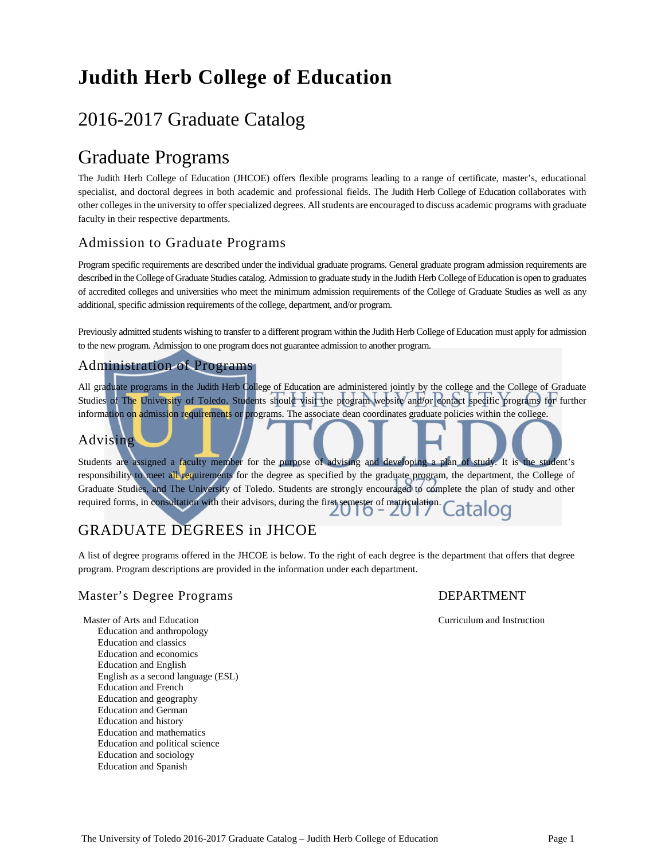# **Judith Herb College of Education**

# 2016-2017 Graduate Catalog

# Graduate Programs

The Judith Herb College of Education (JHCOE) offers flexible programs leading to a range of certificate, master's, educational specialist, and doctoral degrees in both academic and professional fields. The Judith Herb College of Education collaborates with other colleges in the university to offer specialized degrees. All students are encouraged to discuss academic programs with graduate faculty in their respective departments.

# Admission to Graduate Programs

Program specific requirements are described under the individual graduate programs. General graduate program admission requirements are described in the College of Graduate Studies catalog. Admission to graduate study in the Judith Herb College of Education is open to graduates of accredited colleges and universities who meet the minimum admission requirements of the College of Graduate Studies as well as any additional, specific admission requirements of the college, department, and/or program.

Previously admitted students wishing to transfer to a different program within the Judith Herb College of Education must apply for admission to the new program. Admission to one program does not guarantee admission to another program.

# Administration of Programs

All graduate programs in the Judith Herb College of Education are administered jointly by the college and the College of Graduate Studies of The University of Toledo. Students should visit the program website and/or contact specific programs for further information on admission requirements or programs. The associate dean coordinates graduate policies within the college.

# Advising

Students are assigned a faculty member for the purpose of advising and developing a plan of study. It is the student's responsibility to meet all requirements for the degree as specified by the graduate program, the department, the College of Graduate Studies, and The University of Toledo. Students are strongly encouraged to complete the plan of study and other required forms, in consultation with their advisors, during the first semester of matriculation. OQ

# GRADUATE DEGREES in JHCOE

A list of degree programs offered in the JHCOE is below. To the right of each degree is the department that offers that degree program. Program descriptions are provided in the information under each department.

# Master's Degree Programs The Contract of the DEPARTMENT

Master of Arts and Education Curriculum and Instruction Education and anthropology Education and classics Education and economics Education and English English as a second language (ESL) Education and French Education and geography Education and German Education and history Education and mathematics Education and political science Education and sociology Education and Spanish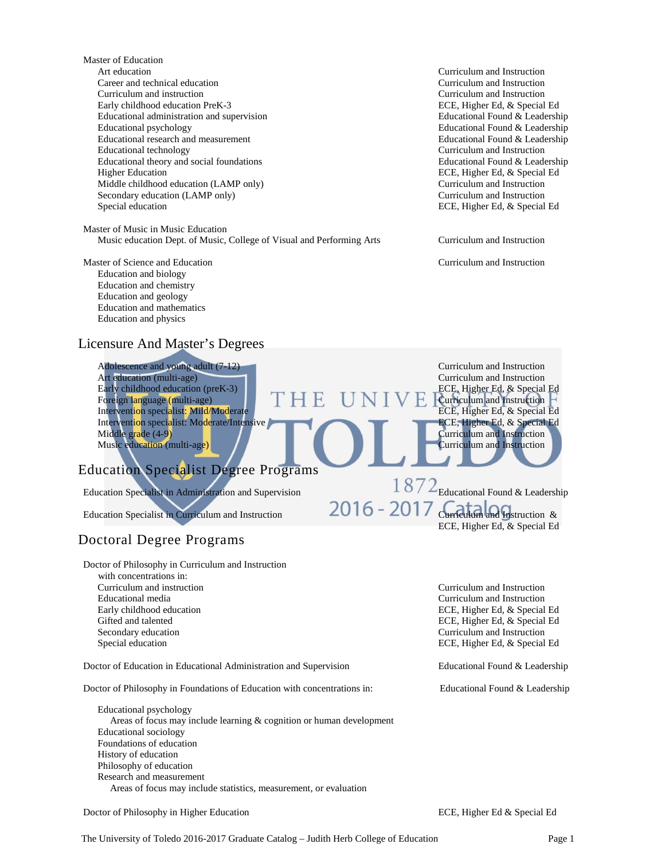Master of Education Art education Curriculum and Instruction Career and technical education Curriculum and Instruction Curriculum and instruction Curriculum and Instruction Early childhood education PreK-3 ECE, Higher Ed, & Special Ed Educational administration and supervision Educational Found & Leadership Educational psychology Educational Found & Leadership Educational research and measurement Educational Found & Leadership Educational technology<br>
Educational theory and social foundations<br>
Educational Found & Leadership Educational theory and social foundations<br>Higher Education Middle childhood education (LAMP only) Curriculum and Instruction Secondary education (LAMP only) Curriculum and Instruction Special education **ECE, Higher Ed, & Special Ed** 

Master of Music in Music Education Music education Dept. of Music, College of Visual and Performing Arts Curriculum and Instruction

Master of Science and Education Curriculum and Instruction Education and biology Education and chemistry Education and geology Education and mathematics Education and physics

# Licensure And Master's Degrees

Adolescence and young adult (7-12) Curriculum and Instruction Art education (multi-age) **Curriculum and Instruction** Early childhood education (preK-3)  $\Gamma$  H E U N I V E CE, Higher Ed, & Special Ed Foreign language (multi-age) Intervention specialist: Mild/Moderate Intervention specialist: Moderate/Intensive ECE, Higher Ed, & Special Ed Middle grade (4-9) Music education (multi-age) 2020 12:20 Music education and Instruction

# Education Specialist Degree Programs

Education Specialist in Administration and Supervision  $\frac{18}{2}$ Educational Found & Leadership

Education Specialist in Curriculum and Instruction  $2016 - 2017$  Curriculum and Instruction &

# Doctoral Degree Programs

Doctor of Philosophy in Curriculum and Instruction

 with concentrations in: Curriculum and instruction Curriculum and Instruction Educational media Curriculum and Instruction Secondary education Curriculum and Instruction Curriculum and Instruction Special education Curriculum and Instruction Special education Curriculum and Instruction Curriculum and Instruction Special education Curriculum an

Doctor of Education in Educational Administration and Supervision Educational Found & Leadership

Doctor of Philosophy in Foundations of Education with concentrations in: Educational Found & Leadership

Educational psychology Areas of focus may include learning & cognition or human development Educational sociology Foundations of education History of education Philosophy of education Research and measurement Areas of focus may include statistics, measurement, or evaluation

Doctor of Philosophy in Higher Education ECE, Higher Ed & Special Ed

ECE, Higher Ed, & Special Ed

**Fourniculum and Instruction<br>FIGURE 1988** ECE, Higher Ed, & Special Ed

Curriculum and Instruction

Early childhood education ECE, Higher Ed, & Special Ed Gifted and talented ECE, Higher Ed, & Special Ed ECE, Higher Ed, & Special Ed

ECE, Higher Ed, & Special Ed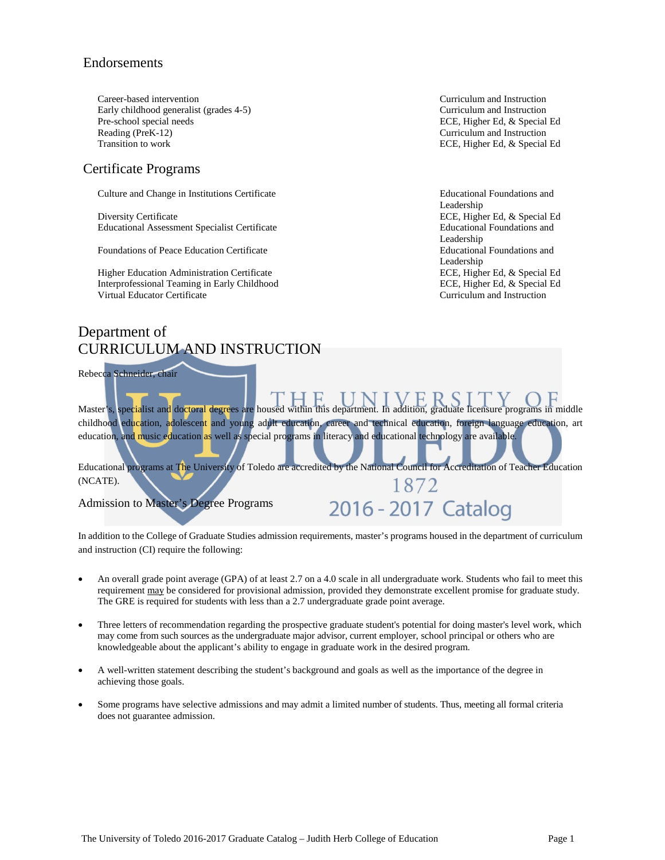# Endorsements

Career-based intervention<br>
Curriculum and Instruction<br>
Curriculum and Instruction<br>
Curriculum and Instruction Early childhood generalist (grades 4-5) Pre-school special needs<br>
Reading (PreK-12)<br>
Reading (PreK-12) Transition to work **ECE, Higher Ed, & Special Ed** 

# Certificate Programs

Culture and Change in Institutions Certificate Educational Foundations and

Diversity Certificate **ECE, Higher Ed, & Special Ed** Educational Assessment Specialist Certificate Educational Foundations and

Foundations of Peace Education Certificate

Higher Education Administration Certificate **ECE, Higher Ed, & Special Ed** Interprofessional Teaming in Early Childhood ECE, Higher Ed, & Special Ed Virtual Educator Certificate Curriculum and Instruction

Curriculum and Instruction

Leadership Leadership<br>Educational Foundations and Leadership

# Department of CURRICULUM AND INSTRUCTION

Rebecca Schneider, chair

Master's, specialist and doctoral degrees are housed within this department. In addition, graduate licensure programs in middle childhood education, adolescent and young adult education, career and technical education, foreign language education, art education, and music education as well as special programs in literacy and educational technology are available.

Educational programs at The University of Toledo are accredited by the National Council for Accreditation of Teacher Education (NCATE). 1872

Admission to Master's Degree Programs

# 2016 - 2017 Catalog

In addition to the College of Graduate Studies admission requirements, master's programs housed in the department of curriculum and instruction (CI) require the following:

- An overall grade point average (GPA) of at least 2.7 on a 4.0 scale in all undergraduate work. Students who fail to meet this requirement may be considered for provisional admission, provided they demonstrate excellent promise for graduate study. The GRE is required for students with less than a 2.7 undergraduate grade point average.
- Three letters of recommendation regarding the prospective graduate student's potential for doing master's level work, which may come from such sources as the undergraduate major advisor, current employer, school principal or others who are knowledgeable about the applicant's ability to engage in graduate work in the desired program.
- A well-written statement describing the student's background and goals as well as the importance of the degree in achieving those goals.
- Some programs have selective admissions and may admit a limited number of students. Thus, meeting all formal criteria does not guarantee admission.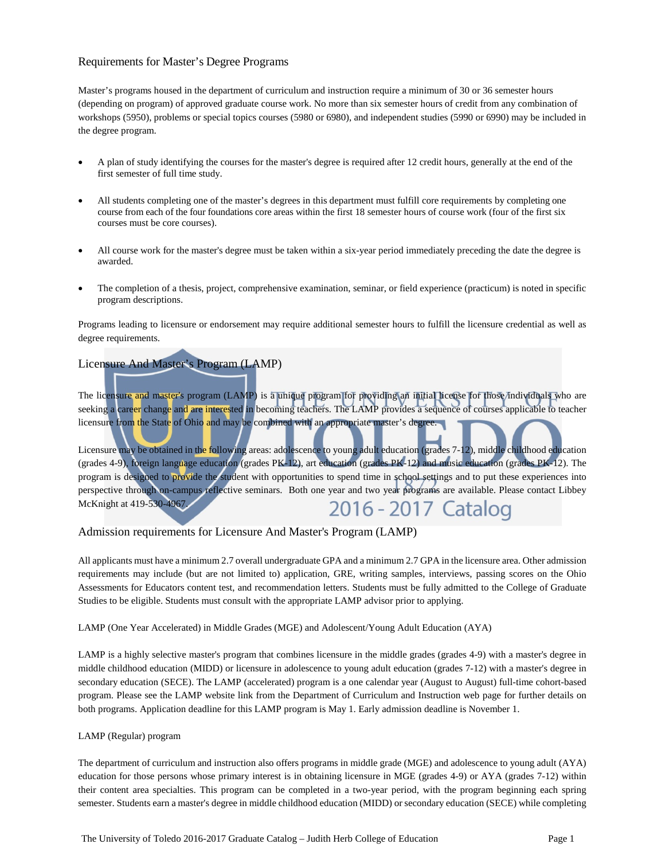# Requirements for Master's Degree Programs

Master's programs housed in the department of curriculum and instruction require a minimum of 30 or 36 semester hours (depending on program) of approved graduate course work. No more than six semester hours of credit from any combination of workshops (5950), problems or special topics courses (5980 or 6980), and independent studies (5990 or 6990) may be included in the degree program.

- A plan of study identifying the courses for the master's degree is required after 12 credit hours, generally at the end of the first semester of full time study.
- All students completing one of the master's degrees in this department must fulfill core requirements by completing one course from each of the four foundations core areas within the first 18 semester hours of course work (four of the first six courses must be core courses).
- All course work for the master's degree must be taken within a six-year period immediately preceding the date the degree is awarded.
- The completion of a thesis, project, comprehensive examination, seminar, or field experience (practicum) is noted in specific program descriptions.

Programs leading to licensure or endorsement may require additional semester hours to fulfill the licensure credential as well as degree requirements.

# Licensure And Master's Program (LAMP)

The licensure and master's program (LAMP) is a unique program for providing an initial license for those individuals who are seeking a career change and are interested in becoming teachers. The LAMP provides a sequence of courses applicable to teacher licensure from the State of Ohio and may be combined with an appropriate master's degree.

Licensure may be obtained in the following areas: adolescence to young adult education (grades 7-12), middle childhood education (grades 4-9), foreign language education (grades PK-12), art education (grades PK-12) and music education (grades PK-12). The program is designed to provide the student with opportunities to spend time in school settings and to put these experiences into perspective through on-campus reflective seminars. Both one year and two year programs are available. Please contact Libbey McKnight at 419-530-4967. 2016 - 2017 Catalog

# Admission requirements for Licensure And Master's Program (LAMP)

All applicants must have a minimum 2.7 overall undergraduate GPA and a minimum 2.7 GPA in the licensure area. Other admission requirements may include (but are not limited to) application, GRE, writing samples, interviews, passing scores on the Ohio Assessments for Educators content test, and recommendation letters. Students must be fully admitted to the College of Graduate Studies to be eligible. Students must consult with the appropriate LAMP advisor prior to applying.

LAMP (One Year Accelerated) in Middle Grades (MGE) and Adolescent/Young Adult Education (AYA)

LAMP is a highly selective master's program that combines licensure in the middle grades (grades 4-9) with a master's degree in middle childhood education (MIDD) or licensure in adolescence to young adult education (grades 7-12) with a master's degree in secondary education (SECE). The LAMP (accelerated) program is a one calendar year (August to August) full-time cohort-based program. Please see the LAMP website link from the Department of Curriculum and Instruction web page for further details on both programs. Application deadline for this LAMP program is May 1. Early admission deadline is November 1.

## LAMP (Regular) program

The department of curriculum and instruction also offers programs in middle grade (MGE) and adolescence to young adult (AYA) education for those persons whose primary interest is in obtaining licensure in MGE (grades 4-9) or AYA (grades 7-12) within their content area specialties. This program can be completed in a two-year period, with the program beginning each spring semester. Students earn a master's degree in middle childhood education (MIDD) or secondary education (SECE) while completing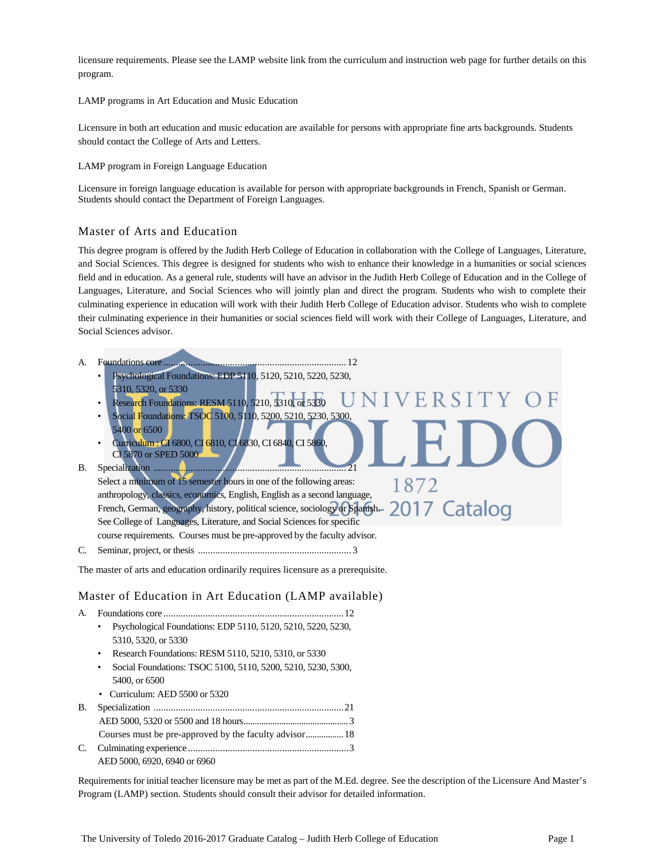licensure requirements. Please see the LAMP website link from the curriculum and instruction web page for further details on this program.

LAMP programs in Art Education and Music Education

Licensure in both art education and music education are available for persons with appropriate fine arts backgrounds. Students should contact the College of Arts and Letters.

LAMP program in Foreign Language Education

Licensure in foreign language education is available for person with appropriate backgrounds in French, Spanish or German. Students should contact the Department of Foreign Languages.

## Master of Arts and Education

This degree program is offered by the Judith Herb College of Education in collaboration with the College of Languages, Literature, and Social Sciences. This degree is designed for students who wish to enhance their knowledge in a humanities or social sciences field and in education. As a general rule, students will have an advisor in the Judith Herb College of Education and in the College of Languages, Literature, and Social Sciences who will jointly plan and direct the program. Students who wish to complete their culminating experience in education will work with their Judith Herb College of Education advisor. Students who wish to complete their culminating experience in their humanities or social sciences field will work with their College of Languages, Literature, and Social Sciences advisor.

1872

- A. Foundations core ..........................................................................12
	- Psychological Foundations: EDP 5110, 5120, 5210, 5220, 5230, 5310, 5320, or 5330
		- ERSI • Research Foundations: RESM 5110, 5210, 5310, or 5330
		- Social Foundations: TSOC 5100, 5110, 5200, 5210, 5230, 5300,
		- 5400 or 6500 • Curriculum : CI 6800, CI 6810, CI 6830, CI 6840, CI 5860, CI 5870 or SPED 5000
- B. Specialization .............................................................................. 21

Select a minimum of 15 semester hours in one of the following areas: anthropology, classics, economics, English, English as a second language, French, German, geography, history, political science, sociology or Spanish. 2017 Catalog See College of Languages, Literature, and Social Sciences for specific course requirements. Courses must be pre-approved by the faculty advisor.

C. Seminar, project, or thesis .............................................................. 3

The master of arts and education ordinarily requires licensure as a prerequisite.

Master of Education in Art Education (LAMP available)

- A. Foundations core .........................................................................12 • Psychological Foundations: EDP 5110, 5120, 5210, 5220, 5230, 5310, 5320, or 5330
	- Research Foundations: RESM 5110, 5210, 5310, or 5330
	- Social Foundations: TSOC 5100, 5110, 5200, 5210, 5230, 5300, 5400, or 6500
	- Curriculum: AED 5500 or 5320

| AED 5000, 6920, 6940 or 6960 |  |
|------------------------------|--|

Requirements for initial teacher licensure may be met as part of the M.Ed. degree. See the description of the Licensure And Master's Program (LAMP) section. Students should consult their advisor for detailed information.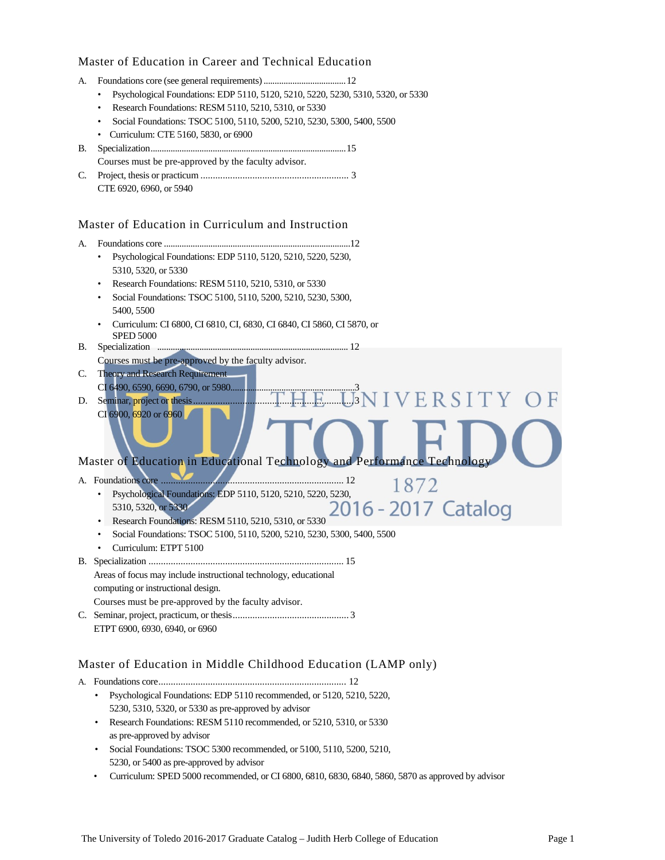# Master of Education in Career and Technical Education

- A. Foundations core (see general requirements).....................................12
	- Psychological Foundations: EDP 5110, 5120, 5210, 5220, 5230, 5310, 5320, or 5330
	- Research Foundations: RESM 5110, 5210, 5310, or 5330
	- Social Foundations: TSOC 5100, 5110, 5200, 5210, 5230, 5300, 5400, 5500
	- Curriculum: CTE 5160, 5830, or 6900
- B. Specialization........................................................................................15 Courses must be pre-approved by the faculty advisor.
- C. Project, thesis or practicum ............................................................ 3 CTE 6920, 6960, or 5940

# Master of Education in Curriculum and Instruction

- A. Foundations core ....................................................................................12
	- Psychological Foundations: EDP 5110, 5120, 5210, 5220, 5230, 5310, 5320, or 5330
	- Research Foundations: RESM 5110, 5210, 5310, or 5330
	- Social Foundations: TSOC 5100, 5110, 5200, 5210, 5230, 5300, 5400, 5500
	- Curriculum: CI 6800, CI 6810, CI, 6830, CI 6840, CI 5860, CI 5870, or SPED 5000
- B. Specialization ...................................................................................... 12 Courses must be pre-approved by the faculty advisor.
- C. Theory and Research Requirement CI 6490, 6590, 6690, 6790, or 5980......
- D. Seminar, project or thesis.................................................................3 CI 6900, 6920 or 6960

# Master of Education in Educational Technology and Performance Technology

- A. Foundations core .......................................................................... 12
	- Psychological Foundations: EDP 5110, 5120, 5210, 5220, 5230,  $\frac{10}{2016}$  2017 Catalog 5310, 5320, or 5330
	- Research Foundations: RESM 5110, 5210, 5310, or 5330
	- Social Foundations: TSOC 5100, 5110, 5200, 5210, 5230, 5300, 5400, 5500
	- Curriculum: ETPT 5100
- B. Specialization ............................................................................... 15 Areas of focus may include instructional technology, educational
	- computing or instructional design.

Courses must be pre-approved by the faculty advisor.

C. Seminar, project, practicum, or thesis............................................... 3 ETPT 6900, 6930, 6940, or 6960

# Master of Education in Middle Childhood Education (LAMP only)

A. Foundations core............................................................................ 12

- Psychological Foundations: EDP 5110 recommended, or 5120, 5210, 5220, 5230, 5310, 5320, or 5330 as pre-approved by advisor
- Research Foundations: RESM 5110 recommended, or 5210, 5310, or 5330 as pre-approved by advisor
- Social Foundations: TSOC 5300 recommended, or 5100, 5110, 5200, 5210, 5230, or 5400 as pre-approved by advisor
- Curriculum: SPED 5000 recommended, or CI 6800, 6810, 6830, 6840, 5860, 5870 as approved by advisor

**SIVERSITY OF** 

1872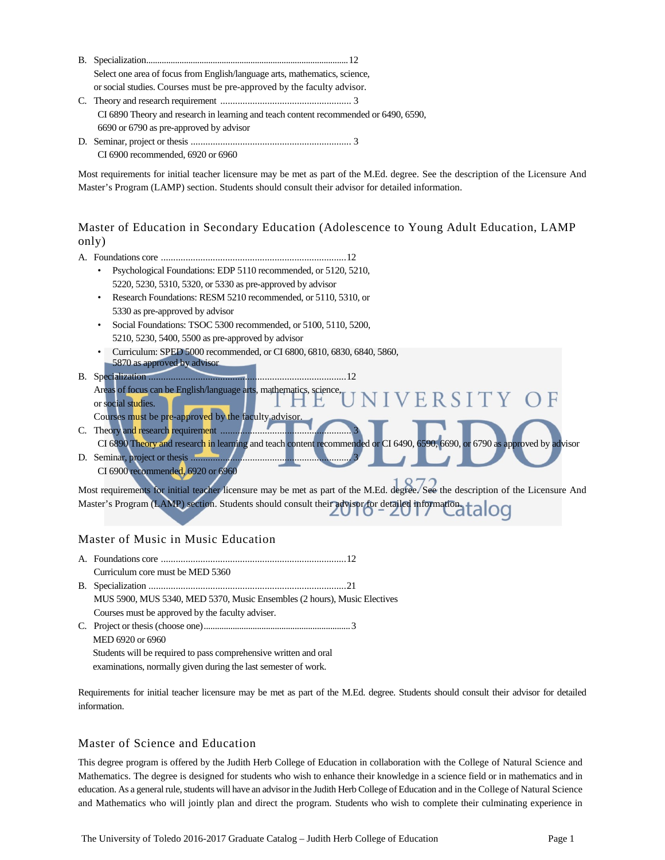| Select one area of focus from English/language arts, mathematics, science,           |
|--------------------------------------------------------------------------------------|
| or social studies. Courses must be pre-approved by the faculty advisor.              |
|                                                                                      |
| CI 6890 Theory and research in learning and teach content recommended or 6490, 6590, |
| 6690 or 6790 as pre-approved by advisor                                              |
|                                                                                      |
| CI 6900 recommended, 6920 or 6960                                                    |

Most requirements for initial teacher licensure may be met as part of the M.Ed. degree. See the description of the Licensure And Master's Program (LAMP) section. Students should consult their advisor for detailed information.

# Master of Education in Secondary Education (Adolescence to Young Adult Education, LAMP only)

|--|--|--|--|

- Psychological Foundations: EDP 5110 recommended, or 5120, 5210, 5220, 5230, 5310, 5320, or 5330 as pre-approved by advisor
- Research Foundations: RESM 5210 recommended, or 5110, 5310, or 5330 as pre-approved by advisor
- Social Foundations: TSOC 5300 recommended, or 5100, 5110, 5200, 5210, 5230, 5400, 5500 as pre-approved by advisor
- Curriculum: SPED 5000 recommended, or CI 6800, 6810, 6830, 6840, 5860, 5870 as approved by advisor
- B. Specialization ................................................................................12 Areas of focus can be English/language arts, mathematics, science RSITY or social studies. Courses must be pre-approved by the faculty advisor.
- C. Theory and research requirement ....... CI 6890 Theory and research in learning and teach content recommended or CI 6490, 6590, 6690, or 6790 as approved by advisor
- D. Seminar, project or thesis ............... CI 6900 recommended, 6920 or 6960

Most requirements for initial teacher licensure may be met as part of the M.Ed. degree. See the description of the Licensure And Master's Program (LAMP) section. Students should consult their advisor for detailed information. ОО

# Master of Music in Music Education

| Curriculum core must be MED 5360                                         |  |
|--------------------------------------------------------------------------|--|
|                                                                          |  |
| MUS 5900, MUS 5340, MED 5370, Music Ensembles (2 hours), Music Electives |  |
| Courses must be approved by the faculty adviser.                         |  |
|                                                                          |  |
| MED 6920 or 6960                                                         |  |

Students will be required to pass comprehensive written and oral

examinations, normally given during the last semester of work.

Requirements for initial teacher licensure may be met as part of the M.Ed. degree. Students should consult their advisor for detailed information.

# Master of Science and Education

This degree program is offered by the Judith Herb College of Education in collaboration with the College of Natural Science and Mathematics. The degree is designed for students who wish to enhance their knowledge in a science field or in mathematics and in education. As a general rule, students will have an advisor in the Judith Herb College of Education and in the College of Natural Science and Mathematics who will jointly plan and direct the program. Students who wish to complete their culminating experience in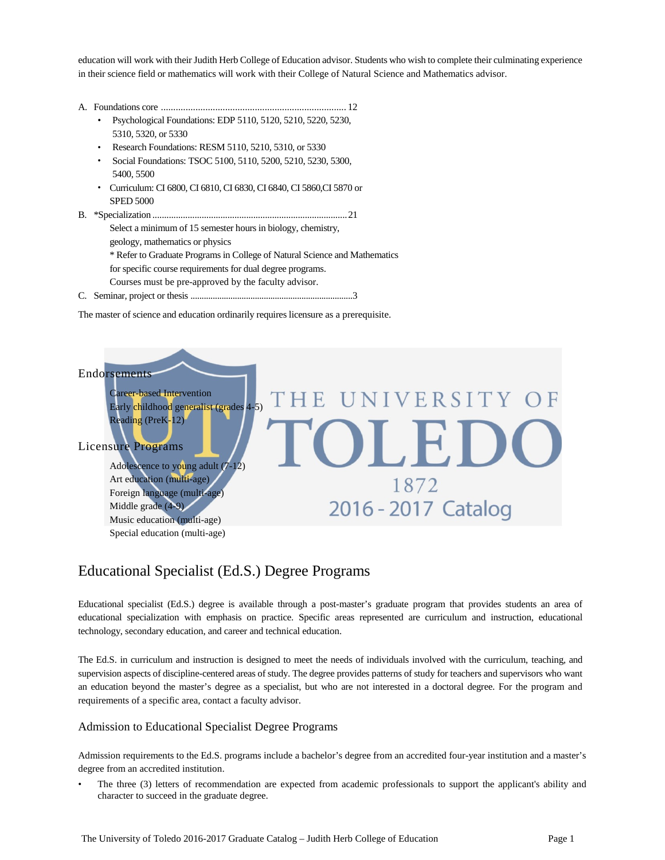education will work with their Judith Herb College of Education advisor. Students who wish to complete their culminating experience in their science field or mathematics will work with their College of Natural Science and Mathematics advisor.

- A. Foundations core ........................................................................... 12
	- Psychological Foundations: EDP 5110, 5120, 5210, 5220, 5230, 5310, 5320, or 5330
	- Research Foundations: RESM 5110, 5210, 5310, or 5330
	- Social Foundations: TSOC 5100, 5110, 5200, 5210, 5230, 5300, 5400, 5500
	- Curriculum: CI 6800, CI 6810, CI 6830, CI 6840, CI 5860,CI 5870 or SPED 5000
- B. \*Specialization ...................................................................................21 Select a minimum of 15 semester hours in biology, chemistry, geology, mathematics or physics \* Refer to Graduate Programs in College of Natural Science and Mathematics for specific course requirements for dual degree programs. Courses must be pre-approved by the faculty advisor.
- C. Seminar, project or thesis .........................................................................3

The master of science and education ordinarily requires licensure as a prerequisite.



# Educational Specialist (Ed.S.) Degree Programs

Educational specialist (Ed.S.) degree is available through a post-master's graduate program that provides students an area of educational specialization with emphasis on practice. Specific areas represented are curriculum and instruction, educational technology, secondary education, and career and technical education.

The Ed.S. in curriculum and instruction is designed to meet the needs of individuals involved with the curriculum, teaching, and supervision aspects of discipline-centered areas of study. The degree provides patterns of study for teachers and supervisors who want an education beyond the master's degree as a specialist, but who are not interested in a doctoral degree. For the program and requirements of a specific area, contact a faculty advisor.

## Admission to Educational Specialist Degree Programs

Admission requirements to the Ed.S. programs include a bachelor's degree from an accredited four-year institution and a master's degree from an accredited institution.

• The three (3) letters of recommendation are expected from academic professionals to support the applicant's ability and character to succeed in the graduate degree.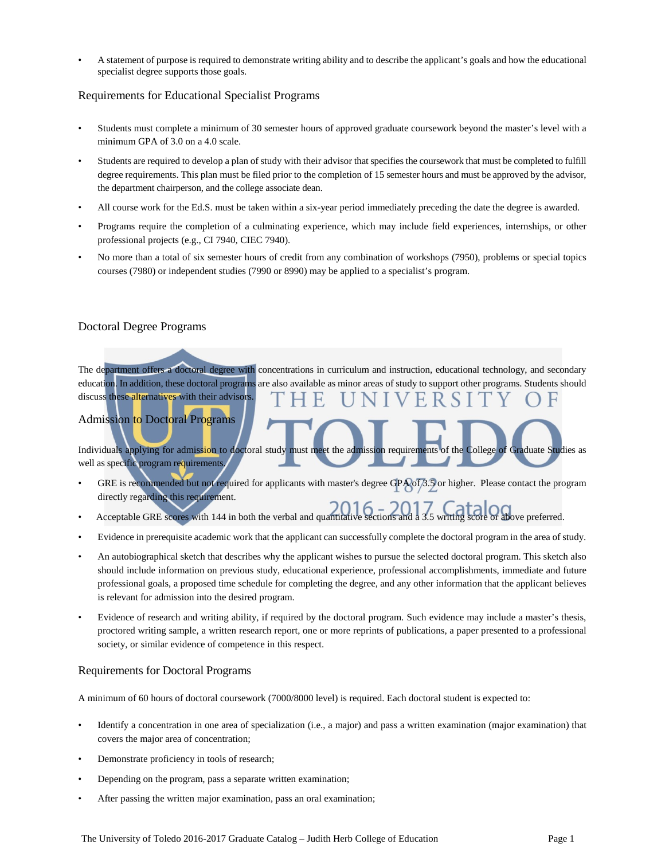• A statement of purpose is required to demonstrate writing ability and to describe the applicant's goals and how the educational specialist degree supports those goals.

# Requirements for Educational Specialist Programs

- Students must complete a minimum of 30 semester hours of approved graduate coursework beyond the master's level with a minimum GPA of 3.0 on a 4.0 scale.
- Students are required to develop a plan of study with their advisor that specifies the coursework that must be completed to fulfill degree requirements. This plan must be filed prior to the completion of 15 semester hours and must be approved by the advisor, the department chairperson, and the college associate dean.
- All course work for the Ed.S. must be taken within a six-year period immediately preceding the date the degree is awarded.
- Programs require the completion of a culminating experience, which may include field experiences, internships, or other professional projects (e.g., CI 7940, CIEC 7940).
- No more than a total of six semester hours of credit from any combination of workshops (7950), problems or special topics courses (7980) or independent studies (7990 or 8990) may be applied to a specialist's program.

# Doctoral Degree Programs

The department offers a doctoral degree with concentrations in curriculum and instruction, educational technology, and secondary education. In addition, these doctoral programs are also available as minor areas of study to support other programs. Students should discuss these alternatives with their advisors.

# Admission to Doctoral Programs

Individuals applying for admission to doctoral study must meet the admission requirements of the College of Graduate Studies as well as specific program requirements.

- GRE is recommended but not required for applicants with master's degree GPA of 3.5 or higher. Please contact the program directly regarding this requirement.
- Acceptable GRE scores with 144 in both the verbal and quantitative sections and a 3.5 writing score or above preferred.
- Evidence in prerequisite academic work that the applicant can successfully complete the doctoral program in the area of study.
- An autobiographical sketch that describes why the applicant wishes to pursue the selected doctoral program. This sketch also should include information on previous study, educational experience, professional accomplishments, immediate and future professional goals, a proposed time schedule for completing the degree, and any other information that the applicant believes is relevant for admission into the desired program.
- Evidence of research and writing ability, if required by the doctoral program. Such evidence may include a master's thesis, proctored writing sample, a written research report, one or more reprints of publications, a paper presented to a professional society, or similar evidence of competence in this respect.

# Requirements for Doctoral Programs

A minimum of 60 hours of doctoral coursework (7000/8000 level) is required. Each doctoral student is expected to:

- Identify a concentration in one area of specialization (i.e., a major) and pass a written examination (major examination) that covers the major area of concentration;
- Demonstrate proficiency in tools of research;
- Depending on the program, pass a separate written examination;
- After passing the written major examination, pass an oral examination;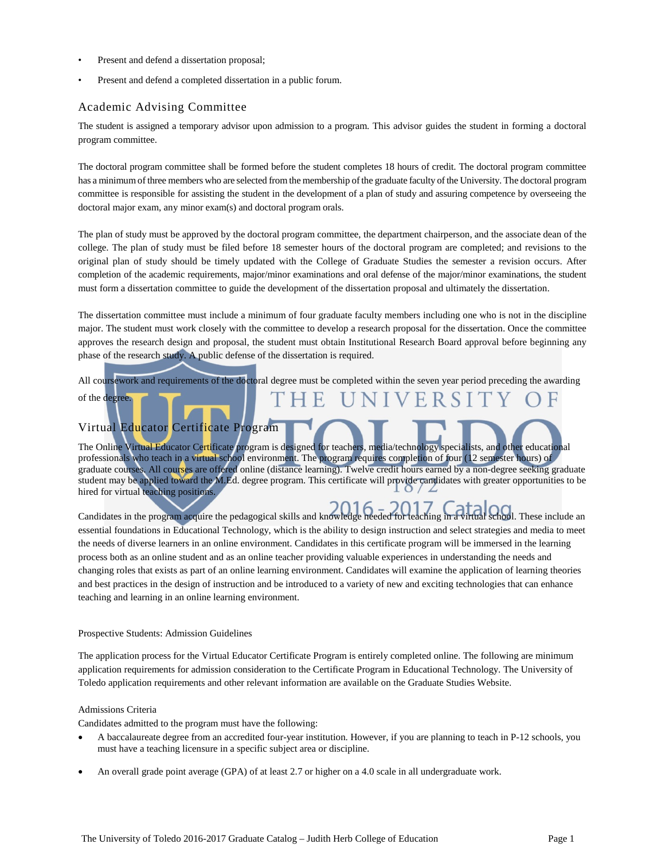- Present and defend a dissertation proposal;
- Present and defend a completed dissertation in a public forum.

## Academic Advising Committee

The student is assigned a temporary advisor upon admission to a program. This advisor guides the student in forming a doctoral program committee.

The doctoral program committee shall be formed before the student completes 18 hours of credit. The doctoral program committee has a minimumof three members who are selected from the membership of the graduate faculty of the University. The doctoral program committee is responsible for assisting the student in the development of a plan of study and assuring competence by overseeing the doctoral major exam, any minor exam(s) and doctoral program orals.

The plan of study must be approved by the doctoral program committee, the department chairperson, and the associate dean of the college. The plan of study must be filed before 18 semester hours of the doctoral program are completed; and revisions to the original plan of study should be timely updated with the College of Graduate Studies the semester a revision occurs. After completion of the academic requirements, major/minor examinations and oral defense of the major/minor examinations, the student must form a dissertation committee to guide the development of the dissertation proposal and ultimately the dissertation.

The dissertation committee must include a minimum of four graduate faculty members including one who is not in the discipline major. The student must work closely with the committee to develop a research proposal for the dissertation. Once the committee approves the research design and proposal, the student must obtain Institutional Research Board approval before beginning any phase of the research study. A public defense of the dissertation is required.

All coursework and requirements of the doctoral degree must be completed within the seven year period preceding the awarding of the degree. E.

# Virtual Educator Certificate Program

The Online Virtual Educator Certificate program is designed for teachers, media/technology specialists, and other educational professionals who teach in a virtual school environment. The program requires completion of four (12 semester hours) of graduate courses. All courses are offered online (distance learning). Twelve credit hours earned by a non-degree seeking graduate student may be applied toward the M.Ed. degree program. This certificate will provide candidates with greater opportunities to be hired for virtual teaching positions.

Candidates in the program acquire the pedagogical skills and knowledge needed for teaching in a virtual school. These include an essential foundations in Educational Technology, which is the ability to design instruction and select strategies and media to meet the needs of diverse learners in an online environment. Candidates in this certificate program will be immersed in the learning process both as an online student and as an online teacher providing valuable experiences in understanding the needs and changing roles that exists as part of an online learning environment. Candidates will examine the application of learning theories and best practices in the design of instruction and be introduced to a variety of new and exciting technologies that can enhance teaching and learning in an online learning environment.

## Prospective Students: Admission Guidelines

The application process for the Virtual Educator Certificate Program is entirely completed online. The following are minimum application requirements for admission consideration to the Certificate Program in Educational Technology. The University of Toledo application requirements and other relevant information are available on the Graduate Studies Website.

## Admissions Criteria

Candidates admitted to the program must have the following:

- A baccalaureate degree from an accredited four-year institution. However, if you are planning to teach in P-12 schools, you must have a teaching licensure in a specific subject area or discipline.
- An overall grade point average (GPA) of at least 2.7 or higher on a 4.0 scale in all undergraduate work.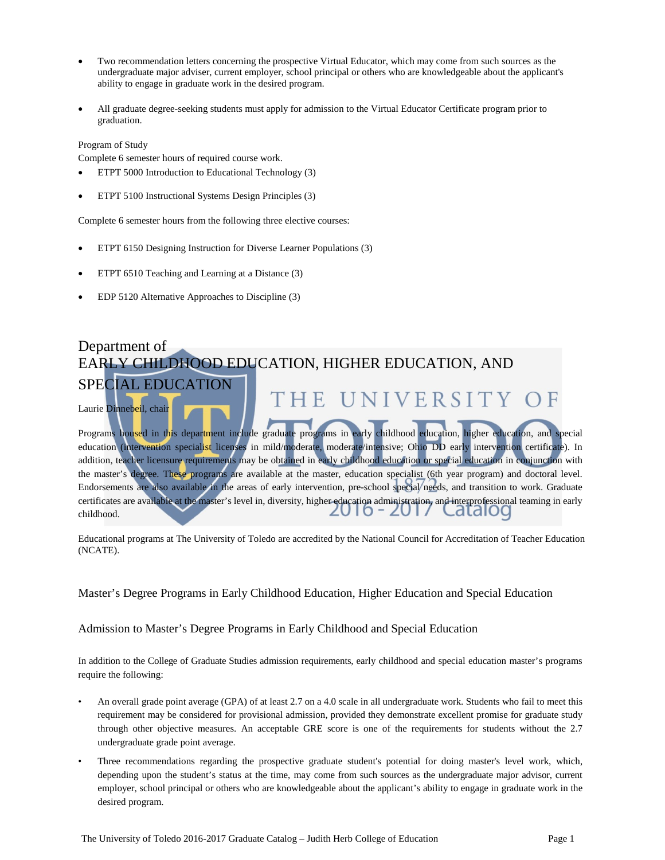- Two recommendation letters concerning the prospective Virtual Educator, which may come from such sources as the undergraduate major adviser, current employer, school principal or others who are knowledgeable about the applicant's ability to engage in graduate work in the desired program.
- All graduate degree-seeking students must apply for admission to the Virtual Educator Certificate program prior to graduation.

## Program of Study

Complete 6 semester hours of required course work.

- ETPT 5000 Introduction to Educational Technology (3)
- ETPT 5100 Instructional Systems Design Principles (3)

Complete 6 semester hours from the following three elective courses:

- ETPT 6150 Designing Instruction for Diverse Learner Populations (3)
- ETPT 6510 Teaching and Learning at a Distance (3)
- EDP 5120 Alternative Approaches to Discipline (3)

| Department of<br>EARLY CHILDHOOD EDUCATION, HIGHER EDUCATION, AND                                                                                                                                                                                               |
|-----------------------------------------------------------------------------------------------------------------------------------------------------------------------------------------------------------------------------------------------------------------|
| <b>SPECIAL EDUCATION</b><br>THE UNIVERSITY OF                                                                                                                                                                                                                   |
| Laurie Dinnebeil, chair<br>Programs housed in this department include graduate programs in early childhood education, higher education, and special                                                                                                             |
| education (intervention specialist licenses in mild/moderate, moderate/intensive; Ohio DD early intervention certificate). In<br>addition, teacher licensure requirements may be obtained in early childhood education or special education in conjunction with |
| the master's degree. These programs are available at the master, education specialist (6th year program) and doctoral level.<br>Endorsements are also available in the areas of early intervention, pre-school special/needs, and transition to work. Graduate  |
| certificates are available at the master's level in, diversity, higher education administration, and interprofessional teaming in early<br>childhood<br>childhood.                                                                                              |

Educational programs at The University of Toledo are accredited by the National Council for Accreditation of Teacher Education (NCATE).

Master's Degree Programs in Early Childhood Education, Higher Education and Special Education

Admission to Master's Degree Programs in Early Childhood and Special Education

In addition to the College of Graduate Studies admission requirements, early childhood and special education master's programs require the following:

- An overall grade point average (GPA) of at least 2.7 on a 4.0 scale in all undergraduate work. Students who fail to meet this requirement may be considered for provisional admission, provided they demonstrate excellent promise for graduate study through other objective measures. An acceptable GRE score is one of the requirements for students without the 2.7 undergraduate grade point average.
- Three recommendations regarding the prospective graduate student's potential for doing master's level work, which, depending upon the student's status at the time, may come from such sources as the undergraduate major advisor, current employer, school principal or others who are knowledgeable about the applicant's ability to engage in graduate work in the desired program.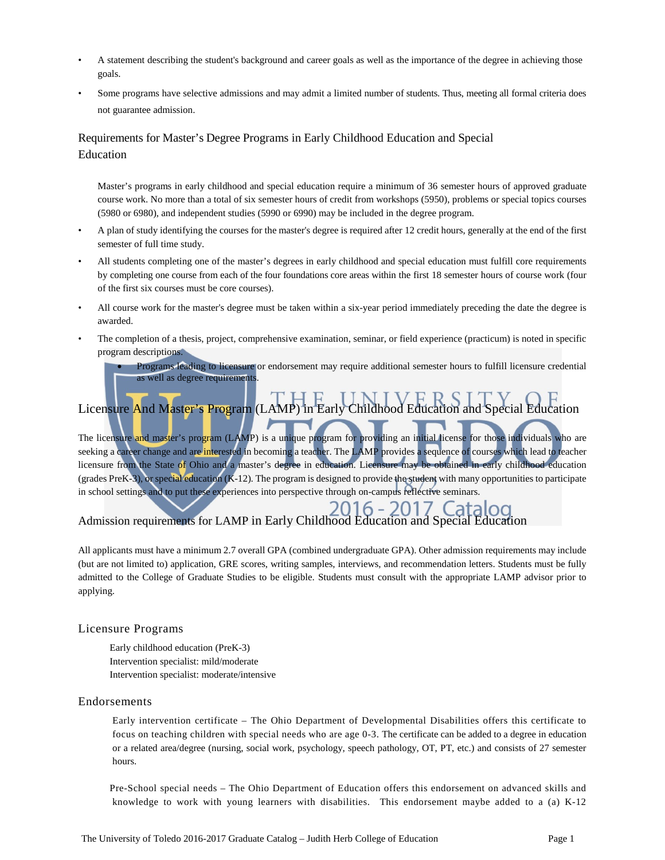- A statement describing the student's background and career goals as well as the importance of the degree in achieving those goals.
- Some programs have selective admissions and may admit a limited number of students. Thus, meeting all formal criteria does not guarantee admission.

# Requirements for Master's Degree Programs in Early Childhood Education and Special Education

Master's programs in early childhood and special education require a minimum of 36 semester hours of approved graduate course work. No more than a total of six semester hours of credit from workshops (5950), problems or special topics courses (5980 or 6980), and independent studies (5990 or 6990) may be included in the degree program.

- A plan of study identifying the courses for the master's degree is required after 12 credit hours, generally at the end of the first semester of full time study.
- All students completing one of the master's degrees in early childhood and special education must fulfill core requirements by completing one course from each of the four foundations core areas within the first 18 semester hours of course work (four of the first six courses must be core courses).
- All course work for the master's degree must be taken within a six-year period immediately preceding the date the degree is awarded.
- The completion of a thesis, project, comprehensive examination, seminar, or field experience (practicum) is noted in specific program descriptions.

• Programs leading to licensure or endorsement may require additional semester hours to fulfill licensure credential as well as degree requirements.

# Licensure And Master's Program (LAMP) in Early Childhood Education and Special Education

The licensure and master's program (LAMP) is a unique program for providing an initial license for those individuals who are seeking a career change and are interested in becoming a teacher. The LAMP provides a sequence of courses which lead to teacher licensure from the State of Ohio and a master's degree in education. Licensure may be obtained in early childhood education (grades PreK-3), or special education (K-12). The program is designed to provide the student with many opportunities to participate in school settings and to put these experiences into perspective through on-campus reflective seminars.

## 6 - 201 Admission requirements for LAMP in Early Childhood Education and Special Education

All applicants must have a minimum 2.7 overall GPA (combined undergraduate GPA). Other admission requirements may include (but are not limited to) application, GRE scores, writing samples, interviews, and recommendation letters. Students must be fully admitted to the College of Graduate Studies to be eligible. Students must consult with the appropriate LAMP advisor prior to applying.

# Licensure Programs

Early childhood education (PreK-3) Intervention specialist: mild/moderate Intervention specialist: moderate/intensive

# Endorsements

Early intervention certificate – The Ohio Department of Developmental Disabilities offers this certificate to focus on teaching children with special needs who are age 0-3. The certificate can be added to a degree in education or a related area/degree (nursing, social work, psychology, speech pathology, OT, PT, etc.) and consists of 27 semester hours.

Pre-School special needs – The Ohio Department of Education offers this endorsement on advanced skills and knowledge to work with young learners with disabilities. This endorsement maybe added to a (a) K-12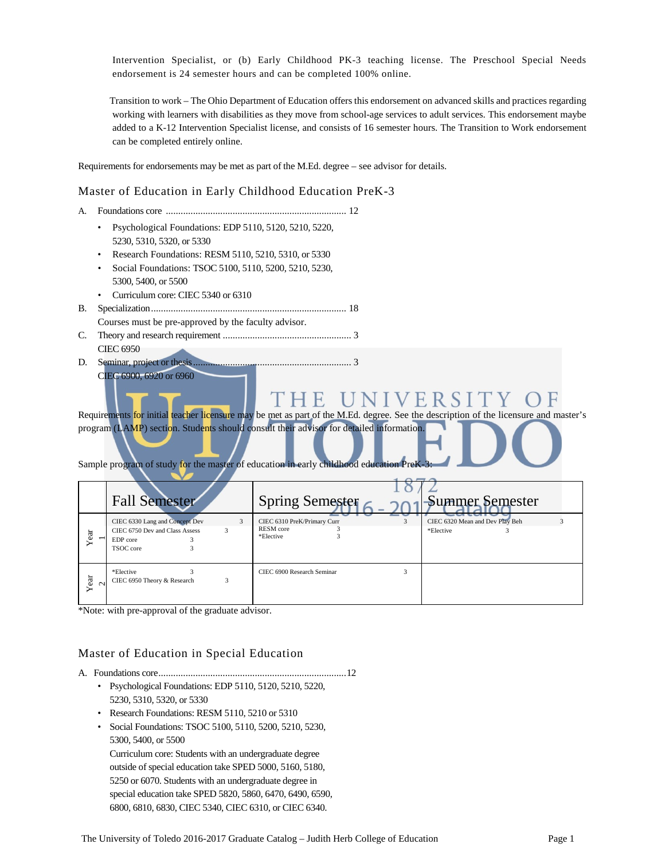Intervention Specialist, or (b) Early Childhood PK-3 teaching license. The Preschool Special Needs endorsement is 24 semester hours and can be completed 100% online.

Transition to work – The Ohio Department of Education offers this endorsement on advanced skills and practices regarding working with learners with disabilities as they move from school-age services to adult services. This endorsement maybe added to a K-12 Intervention Specialist license, and consists of 16 semester hours. The Transition to Work endorsement can be completed entirely online.

Requirements for endorsements may be met as part of the M.Ed. degree – see advisor for details.

# Master of Education in Early Childhood Education PreK-3

- A. Foundations core ......................................................................... 12
	- Psychological Foundations: EDP 5110, 5120, 5210, 5220, 5230, 5310, 5320, or 5330
	- Research Foundations: RESM 5110, 5210, 5310, or 5330
	- Social Foundations: TSOC 5100, 5110, 5200, 5210, 5230, 5300, 5400, or 5500
	- Curriculum core: CIEC 5340 or 6310
- B. Specialization............................................................................... 18
	- Courses must be pre-approved by the faculty advisor.
- C. Theory and research requirement .................................................... 3 CIEC 6950
- D. Seminar, project or thesis................................................................ 3 CIEC 6900, 6920 or 6960

Requirements for initial teacher licensure may be met as part of the M.Ed. degree. See the description of the licensure and master's program (LAMP) section. Students should consult their advisor for detailed information.

UNIVERSI

Sample program of study for the master of education in early childhood education Pre

|                | <b>Fall Semester</b>                                                                           | Spring Semester<br>-Summer Semester                                                                        |
|----------------|------------------------------------------------------------------------------------------------|------------------------------------------------------------------------------------------------------------|
| ear            | 3<br>CIEC 6330 Lang and Concept Dev<br>CIEC 6750 Dev and Class Assess<br>EDP core<br>TSOC core | CIEC 6310 PreK/Primary Curr<br>3<br>CIEC 6320 Mean and Dev Play Beh<br>RESM core<br>*Elective<br>*Elective |
| Year<br>$\sim$ | *Elective<br>CIEC 6950 Theory & Research<br>3                                                  | CIEC 6900 Research Seminar                                                                                 |

\*Note: with pre-approval of the graduate advisor.

# Master of Education in Special Education

- A. Foundations core............................................................................12
	- Psychological Foundations: EDP 5110, 5120, 5210, 5220, 5230, 5310, 5320, or 5330
	- Research Foundations: RESM 5110, 5210 or 5310
	- Social Foundations: TSOC 5100, 5110, 5200, 5210, 5230, 5300, 5400, or 5500

Curriculum core: Students with an undergraduate degree outside of special education take SPED 5000, 5160, 5180, 5250 or 6070. Students with an undergraduate degree in special education take SPED 5820, 5860, 6470, 6490, 6590, 6800, 6810, 6830, CIEC 5340, CIEC 6310, or CIEC 6340.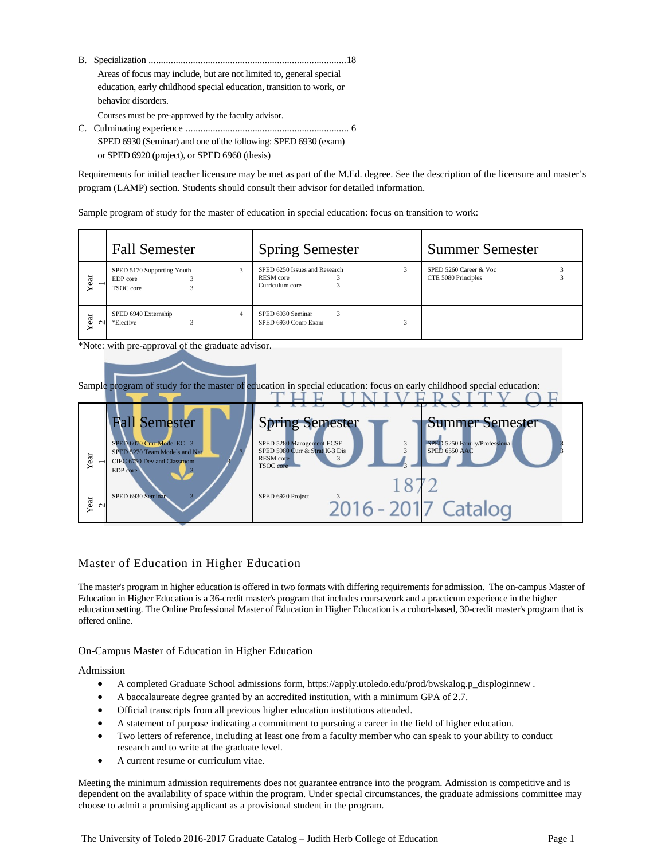- B. Specialization ................................................................................18 Areas of focus may include, but are not limited to, general special education, early childhood special education, transition to work, or behavior disorders. Courses must be pre-approved by the faculty advisor. C. Culminating experience .................................................................. 6
- SPED 6930 (Seminar) and one of the following: SPED 6930 (exam) or SPED 6920 (project), or SPED 6960 (thesis)

Requirements for initial teacher licensure may be met as part of the M.Ed. degree. See the description of the licensure and master's program (LAMP) section. Students should consult their advisor for detailed information.

Sample program of study for the master of education in special education: focus on transition to work:

|               | <b>Fall Semester</b>                                | <b>Spring Semester</b>                                               | <b>Summer Semester</b>                        |  |
|---------------|-----------------------------------------------------|----------------------------------------------------------------------|-----------------------------------------------|--|
| ear           | SPED 5170 Supporting Youth<br>EDP core<br>TSOC core | SPED 6250 Issues and Research<br><b>RESM</b> core<br>Curriculum core | SPED 5260 Career & Voc<br>CTE 5080 Principles |  |
| ear<br>$\sim$ | SPED 6940 Externship<br>4<br>*Elective              | SPED 6930 Seminar<br>3<br>SPED 6930 Comp Exam                        |                                               |  |

\*Note: with pre-approval of the graduate advisor.



# Master of Education in Higher Education

The master's program in higher education is offered in two formats with differing requirements for admission. The on-campus Master of Education in Higher Education is a 36-credit master's program that includes coursework and a practicum experience in the higher education setting. The Online Professional Master of Education in Higher Education is a cohort-based, 30-credit master's program that is offered online.

# On-Campus Master of Education in Higher Education

Admission

- A completed Graduate School admissions form, [https://apply.utoledo.edu/prod/bwskalog.p\\_disploginnew](https://apply.utoledo.edu/prod/bwskalog.p_disploginnew) .
- A baccalaureate degree granted by an accredited institution, with a minimum GPA of 2.7.
- Official transcripts from all previous higher education institutions attended.
- A statement of purpose indicating a commitment to pursuing a career in the field of higher education.
- Two letters of reference, including at least one from a faculty member who can speak to your ability to conduct research and to write at the graduate level.
- A current resume or curriculum vitae.

Meeting the minimum admission requirements does not guarantee entrance into the program. Admission is competitive and is dependent on the availability of space within the program. Under special circumstances, the graduate admissions committee may choose to admit a promising applicant as a provisional student in the program.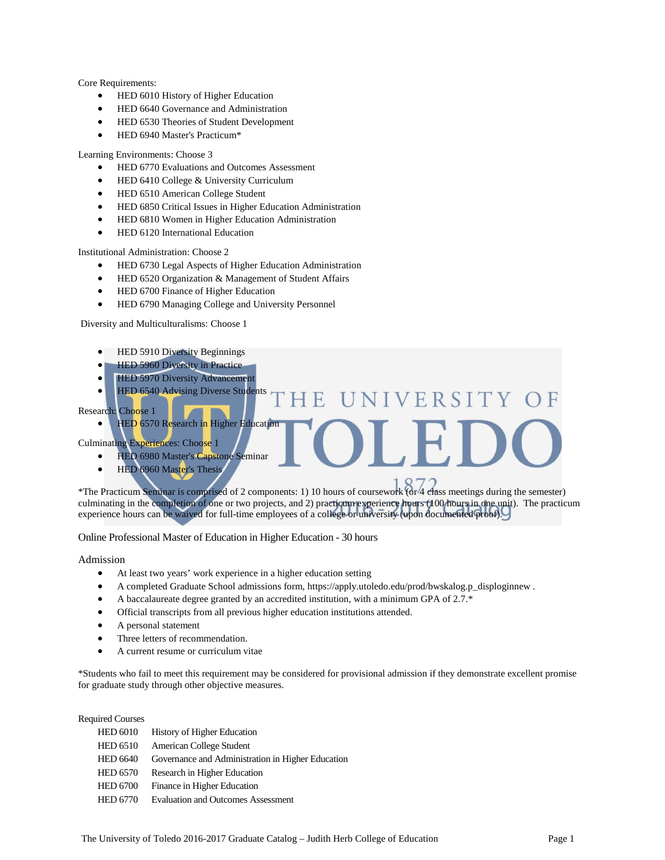Core Requirements:

- HED 6010 History of Higher Education
- HED 6640 Governance and Administration
- HED 6530 Theories of Student Development
- HED 6940 Master's Practicum\*

#### Learning Environments: Choose 3

- HED 6770 Evaluations and Outcomes Assessment
- HED 6410 College & University Curriculum
- HED 6510 American College Student
- HED 6850 Critical Issues in Higher Education Administration
- HED 6810 Women in Higher Education Administration
- HED 6120 International Education

Institutional Administration: Choose 2

- HED 6730 Legal Aspects of Higher Education Administration
- HED 6520 Organization & Management of Student Affairs
- HED 6700 Finance of Higher Education
- HED 6790 Managing College and University Personnel

Diversity and Multiculturalisms: Choose 1

- HED 5910 Diversity Beginnings
- HED 5960 Diversity in Practice
- **HED 5970 Diversity Advancement**
- HED 6540 Advising Diverse Students

UNIVERSITY F.

Research: Choose 1

• HED 6570 Research in Higher Education

Culminating Experiences: Choose 1

- HED 6980 Master's Capstone Seminar
- HED 6960 Master's Thesis

\*The Practicum Seminar is comprised of 2 components: 1) 10 hours of coursework (or 4 class meetings during the semester) culminating in the completion of one or two projects, and 2) practicum experience hours (100 hours in one unit). The practicum experience hours can be waived for full-time employees of a college or university (upon documented proof).

Online Professional Master of Education in Higher Education - 30 hours

Admission

- At least two years' work experience in a higher education setting
- A completed Graduate School admissions form, [https://apply.utoledo.edu/prod/bwskalog.p\\_disploginnew](https://apply.utoledo.edu/prod/bwskalog.p_disploginnew) .
- A baccalaureate degree granted by an accredited institution, with a minimum GPA of 2.7.\*
- Official transcripts from all previous higher education institutions attended.
- A personal statement
- Three letters of recommendation.
- A current resume or curriculum vitae

\*Students who fail to meet this requirement may be considered for provisional admission if they demonstrate excellent promise for graduate study through other objective measures.

Required Courses

| <b>HED 6010</b> | <b>History of Higher Education</b>                |
|-----------------|---------------------------------------------------|
| <b>HED 6510</b> | American College Student                          |
| <b>HED 6640</b> | Governance and Administration in Higher Education |
| <b>HED 6570</b> | Research in Higher Education                      |
| <b>HED 6700</b> | Finance in Higher Education                       |
| <b>HED 6770</b> | <b>Evaluation and Outcomes Assessment</b>         |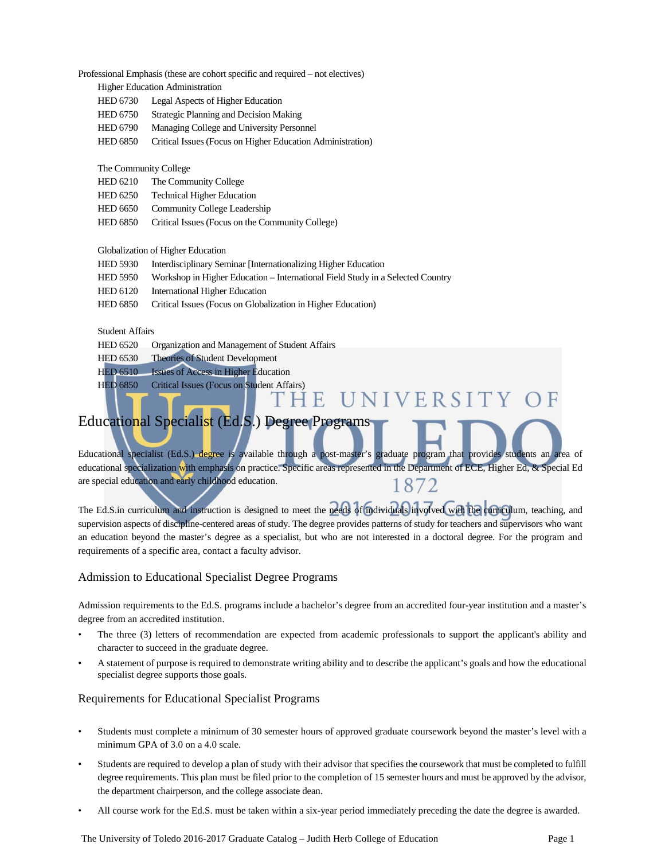Professional Emphasis (these are cohort specific and required – not electives)

Higher Education Administration

- HED 6730 Legal Aspects of Higher Education
- HED 6750 Strategic Planning and Decision Making
- HED 6790 Managing College and University Personnel
- HED 6850 Critical Issues (Focus on Higher Education Administration)

#### The Community College

- HED 6210 The Community College
- HED 6250 Technical Higher Education
- HED 6650 Community College Leadership
- HED 6850 Critical Issues (Focus on the Community College)

#### Globalization of Higher Education

- HED 5930 Interdisciplinary Seminar [Internationalizing Higher Education
- HED 5950 Workshop in Higher Education International Field Study in a Selected Country
- HED 6120 International Higher Education
- HED 6850 Critical Issues (Focus on Globalization in Higher Education)

### Student Affairs

- HED 6520 Organization and Management of Student Affairs
- HED 6530 Theories of Student Development
- HED 6510 Issues of Access in Higher Education
- 

# HED 6850 Critical Issues (Focus on Student Affairs)<br>
THE UNIVERSITY

# Educational Specialist (Ed.S.) Degree Programs

Educational specialist (Ed.S.) degree is available through a post-master's graduate program that provides students an area of educational specialization with emphasis on practice. Specific areas represented in the Department of ECE, Higher Ed, & Special Ed are special education and early childhood education. 1872

The Ed.S.in curriculum and instruction is designed to meet the needs of individuals involved with the curriculum, teaching, and supervision aspects of discipline-centered areas of study. The degree provides patterns of study for teachers and supervisors who want an education beyond the master's degree as a specialist, but who are not interested in a doctoral degree. For the program and requirements of a specific area, contact a faculty advisor.

## Admission to Educational Specialist Degree Programs

Admission requirements to the Ed.S. programs include a bachelor's degree from an accredited four-year institution and a master's degree from an accredited institution.

- The three (3) letters of recommendation are expected from academic professionals to support the applicant's ability and character to succeed in the graduate degree.
- A statement of purpose is required to demonstrate writing ability and to describe the applicant's goals and how the educational specialist degree supports those goals.

## Requirements for Educational Specialist Programs

- Students must complete a minimum of 30 semester hours of approved graduate coursework beyond the master's level with a minimum GPA of 3.0 on a 4.0 scale.
- Students are required to develop a plan of study with their advisor that specifies the coursework that must be completed to fulfill degree requirements. This plan must be filed prior to the completion of 15 semester hours and must be approved by the advisor, the department chairperson, and the college associate dean.
- All course work for the Ed.S. must be taken within a six-year period immediately preceding the date the degree is awarded.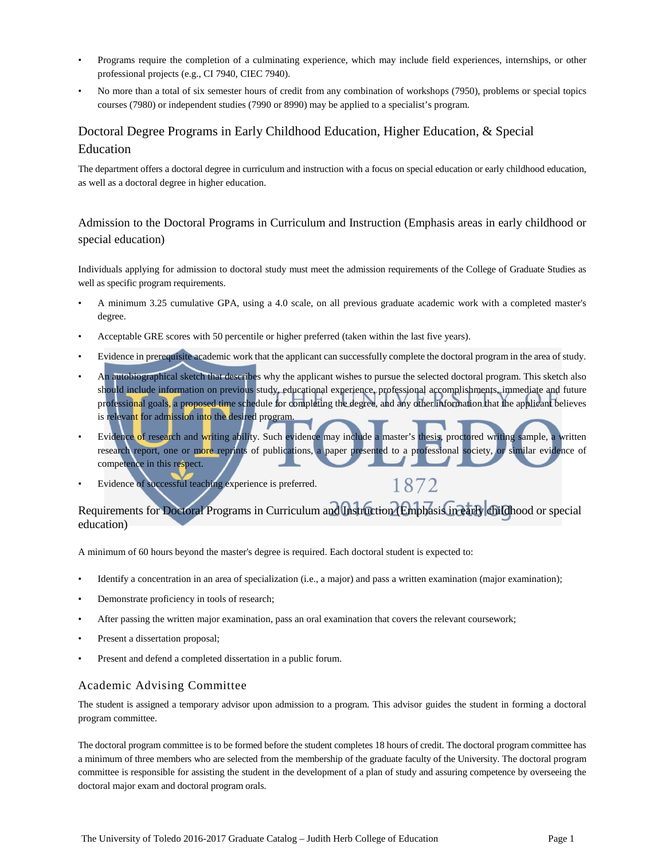- Programs require the completion of a culminating experience, which may include field experiences, internships, or other professional projects (e.g., CI 7940, CIEC 7940).
- No more than a total of six semester hours of credit from any combination of workshops (7950), problems or special topics courses (7980) or independent studies (7990 or 8990) may be applied to a specialist's program.

# Doctoral Degree Programs in Early Childhood Education, Higher Education, & Special Education

The department offers a doctoral degree in curriculum and instruction with a focus on special education or early childhood education, as well as a doctoral degree in higher education.

Admission to the Doctoral Programs in Curriculum and Instruction (Emphasis areas in early childhood or special education)

Individuals applying for admission to doctoral study must meet the admission requirements of the College of Graduate Studies as well as specific program requirements.

- A minimum 3.25 cumulative GPA, using a 4.0 scale, on all previous graduate academic work with a completed master's degree.
- Acceptable GRE scores with 50 percentile or higher preferred (taken within the last five years).
- Evidence in prerequisite academic work that the applicant can successfully complete the doctoral program in the area of study.
- An autobiographical sketch that describes why the applicant wishes to pursue the selected doctoral program. This sketch also should include information on previous study, educational experience, professional accomplishments, immediate and future professional goals, a proposed time schedule for completing the degree, and any other information that the applicant believes is relevant for admission into the desired program.
- Evidence of research and writing ability. Such evidence may include a master's thesis, proctored writing sample, a written research report, one or more reprints of publications, a paper presented to a professional society, or similar evidence of competence in this respect.

1872

Evidence of successful teaching experience is preferred.

# Requirements for Doctoral Programs in Curriculum and Instruction (Emphasis in early childhood or special education)

A minimum of 60 hours beyond the master's degree is required. Each doctoral student is expected to:

- Identify a concentration in an area of specialization (i.e., a major) and pass a written examination (major examination);
- Demonstrate proficiency in tools of research;
- After passing the written major examination, pass an oral examination that covers the relevant coursework;
- Present a dissertation proposal;
- Present and defend a completed dissertation in a public forum.

# Academic Advising Committee

The student is assigned a temporary advisor upon admission to a program. This advisor guides the student in forming a doctoral program committee.

The doctoral program committee is to be formed before the student completes 18 hours of credit. The doctoral program committee has a minimum of three members who are selected from the membership of the graduate faculty of the University. The doctoral program committee is responsible for assisting the student in the development of a plan of study and assuring competence by overseeing the doctoral major exam and doctoral program orals.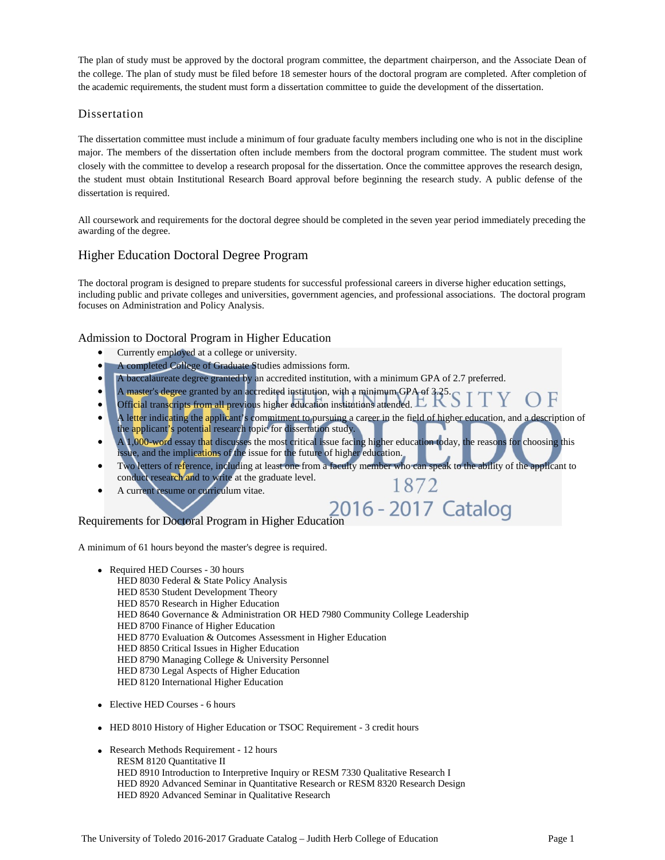The plan of study must be approved by the doctoral program committee, the department chairperson, and the Associate Dean of the college. The plan of study must be filed before 18 semester hours of the doctoral program are completed. After completion of the academic requirements, the student must form a dissertation committee to guide the development of the dissertation.

# Dissertation

The dissertation committee must include a minimum of four graduate faculty members including one who is not in the discipline major. The members of the dissertation often include members from the doctoral program committee. The student must work closely with the committee to develop a research proposal for the dissertation. Once the committee approves the research design, the student must obtain Institutional Research Board approval before beginning the research study. A public defense of the dissertation is required.

All coursework and requirements for the doctoral degree should be completed in the seven year period immediately preceding the awarding of the degree.

# Higher Education Doctoral Degree Program

The doctoral program is designed to prepare students for successful professional careers in diverse higher education settings, including public and private colleges and universities, government agencies, and professional associations. The doctoral program focuses on Administration and Policy Analysis.

# Admission to Doctoral Program in Higher Education

- Currently employed at a college or university.
- A completed College of Graduate Studies admissions form.
- A baccalaureate degree granted by an accredited institution, with a minimum GPA of 2.7 preferred.
- A master's degree granted by an accredited institution, with a minimum GPA of 3.25
- Official transcripts from all previous higher education institutions attended.  $\Box \Box$
- A letter indicating the applicant's commitment to pursuing a career in the field of higher education, and a description of the applicant's potential research topic for dissertation study.
- A 1,000-word essay that discusses the most critical issue facing higher education today, the reasons for choosing this issue, and the implications of the issue for the future of higher education.
- Two letters of reference, including at least one from a faculty member who can speak to the ability of the applicant to conduct research and to write at the graduate level. 1872
- A current resume or curriculum vitae.

# Requirements for Doctoral Program in Higher Education 16 - 2017 Catalog

A minimum of 61 hours beyond the master's degree is required.

- Required HED Courses 30 hours HED 8030 Federal & State Policy Analysis HED 8530 Student Development Theory HED 8570 Research in Higher Education HED 8640 Governance & Administration OR HED 7980 Community College Leadership HED 8700 Finance of Higher Education HED 8770 Evaluation & Outcomes Assessment in Higher Education HED 8850 Critical Issues in Higher Education HED 8790 Managing College & University Personnel HED 8730 Legal Aspects of Higher Education HED 8120 International Higher Education
- Elective HED Courses 6 hours
- HED 8010 History of Higher Education or TSOC Requirement 3 credit hours
- Research Methods Requirement 12 hours RESM 8120 Quantitative II HED 8910 Introduction to Interpretive Inquiry or RESM 7330 Qualitative Research I HED 8920 Advanced Seminar in Quantitative Research or RESM 8320 Research Design HED 8920 Advanced Seminar in Qualitative Research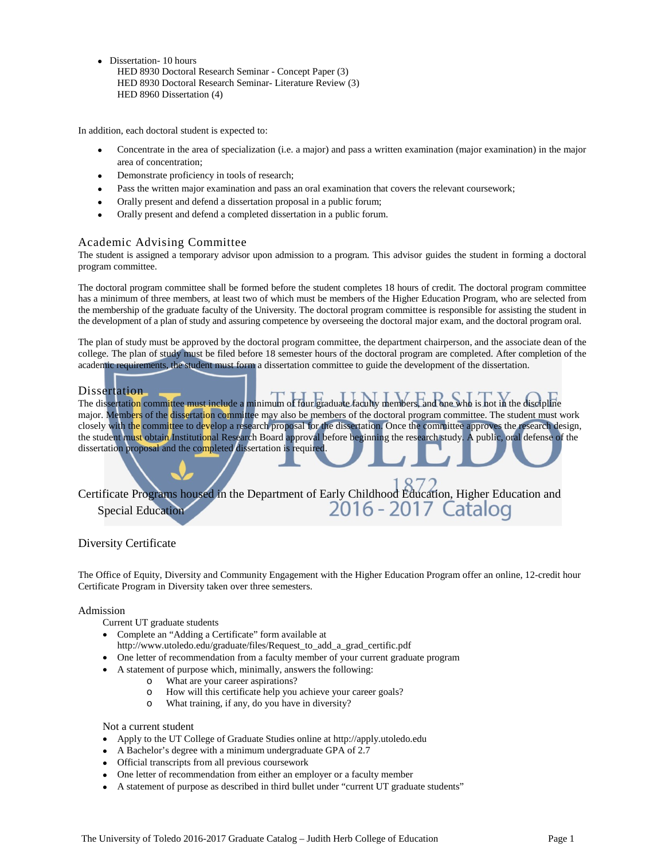• Dissertation- 10 hours HED 8930 Doctoral Research Seminar - Concept Paper (3) HED 8930 Doctoral Research Seminar- Literature Review (3) HED 8960 Dissertation (4)

In addition, each doctoral student is expected to:

- Concentrate in the area of specialization (i.e. a major) and pass a written examination (major examination) in the major area of concentration;
- Demonstrate proficiency in tools of research;
- Pass the written major examination and pass an oral examination that covers the relevant coursework;
- Orally present and defend a dissertation proposal in a public forum;
- Orally present and defend a completed dissertation in a public forum.

# Academic Advising Committee

The student is assigned a temporary advisor upon admission to a program. This advisor guides the student in forming a doctoral program committee.

The doctoral program committee shall be formed before the student completes 18 hours of credit. The doctoral program committee has a minimum of three members, at least two of which must be members of the Higher Education Program, who are selected from the membership of the graduate faculty of the University. The doctoral program committee is responsible for assisting the student in the development of a plan of study and assuring competence by overseeing the doctoral major exam, and the doctoral program oral.

The plan of study must be approved by the doctoral program committee, the department chairperson, and the associate dean of the college. The plan of study must be filed before 18 semester hours of the doctoral program are completed. After completion of the academic requirements, the student must form a dissertation committee to guide the development of the dissertation.

## Dissertation

The dissertation committee must include a minimum of four graduate faculty members, and one who is not in the discipline major. Members of the dissertation committee may also be members of the doctoral program committee. The student must work closely with the committee to develop a research proposal for the dissertation. Once the committee approves the research design, the student must obtain Institutional Research Board approval before beginning the research study. A public, oral defense of the dissertation proposal and the completed dissertation is required.

Certificate Programs housed in the Department of Early Childhood Education, Higher Education and<br>2016 - 2017 Catalog Special Education

# Diversity Certificate

The Office of Equity, Diversity and Community Engagement with the Higher Education Program offer an online, 12-credit hour Certificate Program in Diversity taken over three semesters.

## Admission

- Current UT graduate students
- Complete an "Adding a Certificate" form available at
- [http://www.utoledo.edu/graduate/files/Request\\_to\\_add\\_a\\_grad\\_certific.pdf](http://www.utoledo.edu/graduate/files/Request_to_add_a_grad_certific.pdf)
- One letter of recommendation from a faculty member of your current graduate program
- A statement of purpose which, minimally, answers the following:
	- o What are your career aspirations?
	- o How will this certificate help you achieve your career goals?
	- o What training, if any, do you have in diversity?

### Not a current student

- Apply to the UT College of Graduate Studies online at http://apply.utoledo.edu
- A Bachelor's degree with a minimum undergraduate GPA of 2.7
- Official transcripts from all previous coursework
- One letter of recommendation from either an employer or a faculty member
- A statement of purpose as described in third bullet under "current UT graduate students"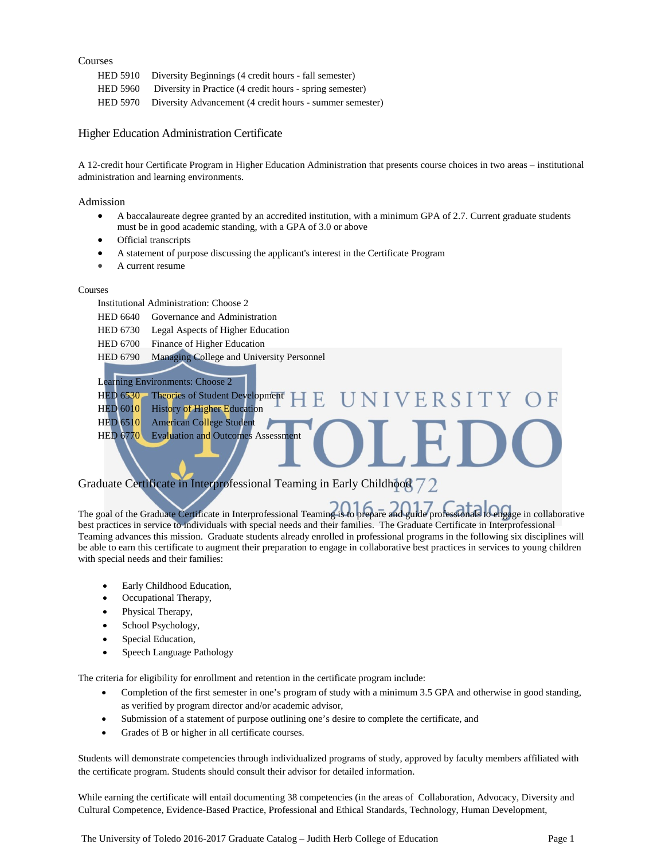## Courses

| HED 5910 Diversity Beginnings (4 credit hours - fall semester)    |
|-------------------------------------------------------------------|
| HED 5960 Diversity in Practice (4 credit hours - spring semester) |
| HED 5970 Diversity Advancement (4 credit hours - summer semester) |

## Higher Education Administration Certificate

A 12-credit hour Certificate Program in Higher Education Administration that presents course choices in two areas – institutional administration and learning environments.

### Admission

- A baccalaureate degree granted by an accredited institution, with a minimum GPA of 2.7. Current graduate students must be in good academic standing, with a GPA of 3.0 or above
- Official transcripts
- A statement of purpose discussing the applicant's interest in the Certificate Program
- A current resume

#### Courses

Institutional Administration: Choose 2

- HED 6640 Governance and Administration
- HED 6730 Legal Aspects of Higher Education
- HED 6700 Finance of Higher Education
- HED 6790 Managing College and University Personnel
- Learning Environments: Choose 2

# HED 6530 Theories of Student Development **IVERSITY** HED 6010 History of Higher Education HED 6510 American College Student HED 6770 Evaluation and Outcomes Assessment

# Graduate Certificate in Interprofessional Teaming in Early Childhood 72

The goal of the Graduate Certificate in Interprofessional Teaming is to prepare and guide professionals to engage in collaborative best practices in service to individuals with special needs and their families. The Graduate Certificate in Interprofessional Teaming advances this mission. Graduate students already enrolled in professional programs in the following six disciplines will be able to earn this certificate to augment their preparation to engage in collaborative best practices in services to young children with special needs and their families:

- Early Childhood Education,
- Occupational Therapy,
- Physical Therapy,
- School Psychology,
- Special Education,
- Speech Language Pathology

The criteria for eligibility for enrollment and retention in the certificate program include:

- Completion of the first semester in one's program of study with a minimum 3.5 GPA and otherwise in good standing, as verified by program director and/or academic advisor,
- Submission of a statement of purpose outlining one's desire to complete the certificate, and
- Grades of B or higher in all certificate courses.

Students will demonstrate competencies through individualized programs of study, approved by faculty members affiliated with the certificate program. Students should consult their advisor for detailed information.

While earning the certificate will entail documenting 38 competencies (in the areas of Collaboration, Advocacy, Diversity and Cultural Competence, Evidence-Based Practice, Professional and Ethical Standards, Technology, Human Development,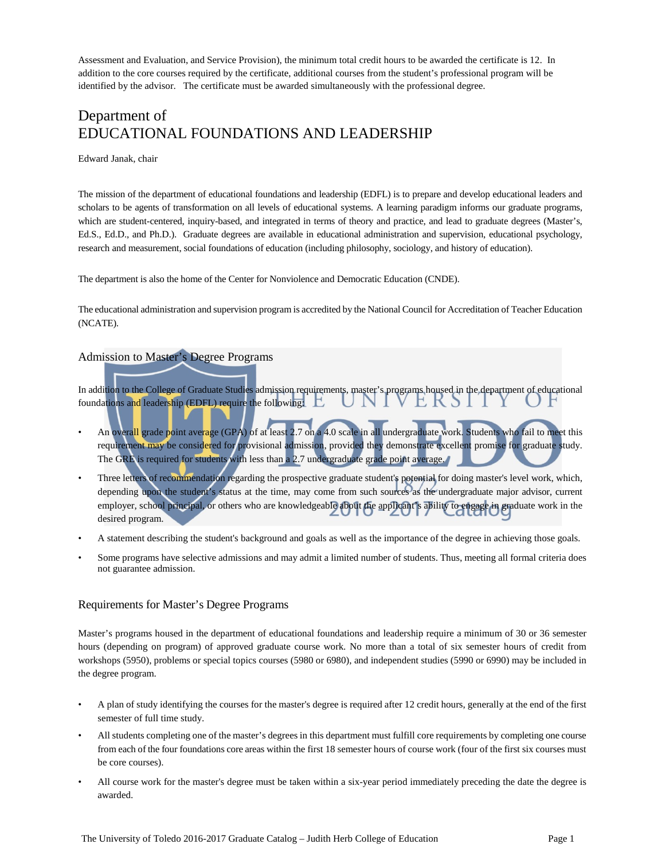Assessment and Evaluation, and Service Provision), the minimum total credit hours to be awarded the certificate is 12. In addition to the core courses required by the certificate, additional courses from the student's professional program will be identified by the advisor. The certificate must be awarded simultaneously with the professional degree.

# Department of EDUCATIONAL FOUNDATIONS AND LEADERSHIP

## Edward Janak, chair

The mission of the department of educational foundations and leadership (EDFL) is to prepare and develop educational leaders and scholars to be agents of transformation on all levels of educational systems. A learning paradigm informs our graduate programs, which are student-centered, inquiry-based, and integrated in terms of theory and practice, and lead to graduate degrees (Master's, Ed.S., Ed.D., and Ph.D.). Graduate degrees are available in educational administration and supervision, educational psychology, research and measurement, social foundations of education (including philosophy, sociology, and history of education).

The department is also the home of the Center for Nonviolence and Democratic Education (CNDE).

The educational administration and supervision program is accredited by the National Council for Accreditation of Teacher Education (NCATE).

# Admission to Master's Degree Programs

In addition to the College of Graduate Studies admission requirements, master's programs housed in the department of educational foundations and leadership (EDFL) require the following:

- An overall grade point average (GPA) of at least 2.7 on a 4.0 scale in all undergraduate work. Students who fail to meet this requirement may be considered for provisional admission, provided they demonstrate excellent promise for graduate study. The GRE is required for students with less than a 2.7 undergraduate grade point average.
- Three letters of recommendation regarding the prospective graduate student's potential for doing master's level work, which, depending upon the student's status at the time, may come from such sources as the undergraduate major advisor, current employer, school principal, or others who are knowledgeable about the applicant's ability to engage in graduate work in the desired program.
- A statement describing the student's background and goals as well as the importance of the degree in achieving those goals.
- Some programs have selective admissions and may admit a limited number of students. Thus, meeting all formal criteria does not guarantee admission.

## Requirements for Master's Degree Programs

Master's programs housed in the department of educational foundations and leadership require a minimum of 30 or 36 semester hours (depending on program) of approved graduate course work. No more than a total of six semester hours of credit from workshops (5950), problems or special topics courses (5980 or 6980), and independent studies (5990 or 6990) may be included in the degree program.

- A plan of study identifying the courses for the master's degree is required after 12 credit hours, generally at the end of the first semester of full time study.
- All students completing one of the master's degrees in this department must fulfill core requirements by completing one course from each of the four foundations core areas within the first 18 semester hours of course work (four of the first six courses must be core courses).
- All course work for the master's degree must be taken within a six-year period immediately preceding the date the degree is awarded.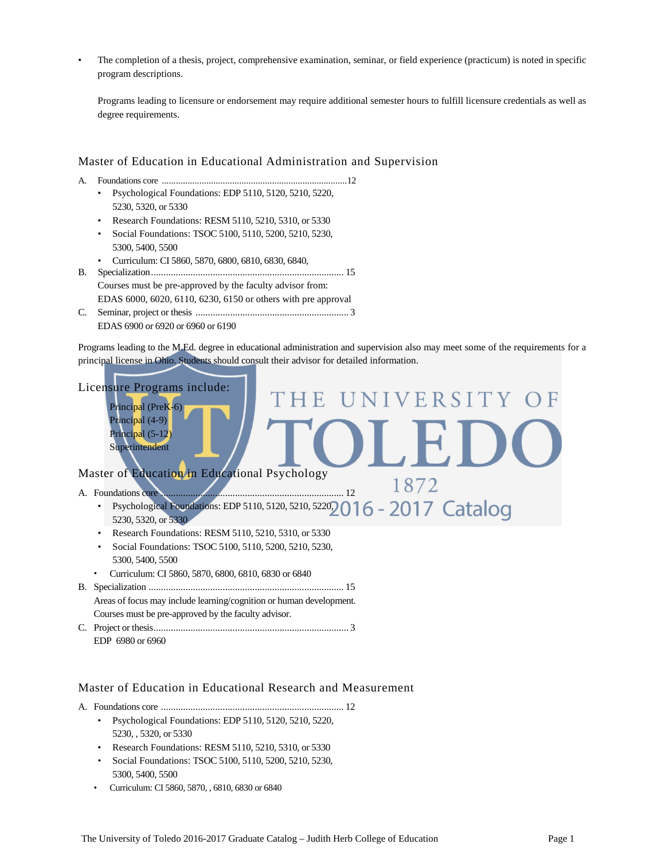• The completion of a thesis, project, comprehensive examination, seminar, or field experience (practicum) is noted in specific program descriptions.

Programs leading to licensure or endorsement may require additional semester hours to fulfill licensure credentials as well as degree requirements.

## Master of Education in Educational Administration and Supervision

- A. Foundations core ...............................................................................12
	- Psychological Foundations: EDP 5110, 5120, 5210, 5220, 5230, 5320, or 5330
		- Research Foundations: RESM 5110, 5210, 5310, or 5330
		- Social Foundations: TSOC 5100, 5110, 5200, 5210, 5230, 5300, 5400, 5500
		- Curriculum: CI 5860, 5870, 6800, 6810, 6830, 6840,
- B. Specialization.............................................................................. 15 Courses must be pre-approved by the faculty advisor from: EDAS 6000, 6020, 6110, 6230, 6150 or others with pre approval
- C. Seminar, project or thesis .............................................................. 3 EDAS 6900 or 6920 or 6960 or 6190

Programs leading to the M.Ed. degree in educational administration and supervision also may meet some of the requirements for a principal license in Ohio. Students should consult their advisor for detailed information.



# Master of Education in Educational Research and Measurement

- A. Foundations core .......................................................................... 12
	- Psychological Foundations: EDP 5110, 5120, 5210, 5220, 5230, , 5320, or 5330
	- Research Foundations: RESM 5110, 5210, 5310, or 5330
	- Social Foundations: TSOC 5100, 5110, 5200, 5210, 5230, 5300, 5400, 5500
	- Curriculum: CI 5860, 5870, , 6810, 6830 or 6840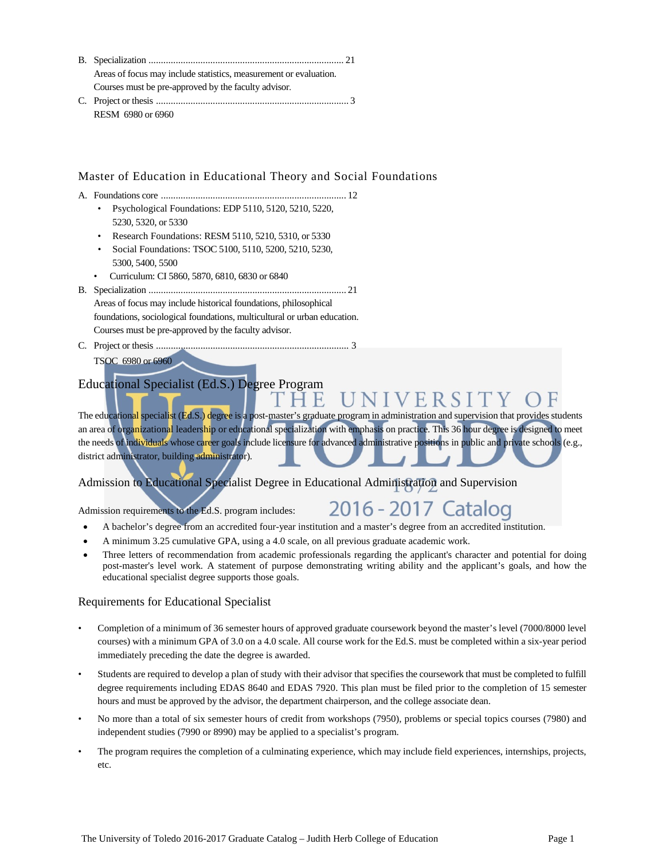| Areas of focus may include statistics, measurement or evaluation. |  |
|-------------------------------------------------------------------|--|
| Courses must be pre-approved by the faculty advisor.              |  |
|                                                                   |  |

RESM 6980 or 6960

# Master of Education in Educational Theory and Social Foundations

- A. Foundations core ........................................................................... 12
	- Psychological Foundations: EDP 5110, 5120, 5210, 5220, 5230, 5320, or 5330
	- Research Foundations: RESM 5110, 5210, 5310, or 5330
	- Social Foundations: TSOC 5100, 5110, 5200, 5210, 5230, 5300, 5400, 5500
	- Curriculum: CI 5860, 5870, 6810, 6830 or 6840
- B. Specialization ................................................................................ 21 Areas of focus may include historical foundations, philosophical foundations, sociological foundations, multicultural or urban education. Courses must be pre-approved by the faculty advisor.
- C. Project or thesis .............................................................................. 3
	- TSOC 6980 or 6960

# Educational Specialist (Ed.S.) Degree Program

#### THE UNIVERSI The educational specialist (Ed.S.) degree is a post-master's graduate program in administration and supervision that provides students an area of organizational leadership or educational specialization with emphasis on practice. This 36 hour degree is designed to meet

the needs of individuals whose career goals include licensure for advanced administrative positions in public and private schools (e.g., district administrator, building administrator).

Admission to Educational Specialist Degree in Educational Administration and Supervision

Admission requirements to the Ed.S. program includes:

# 2016 - 2017 Catalog

- A bachelor's degree from an accredited four-year institution and a master's degree from an accredited institution.
- A minimum 3.25 cumulative GPA, using a 4.0 scale, on all previous graduate academic work.
- Three letters of recommendation from academic professionals regarding the applicant's character and potential for doing post-master's level work. A statement of purpose demonstrating writing ability and the applicant's goals, and how the educational specialist degree supports those goals.

# Requirements for Educational Specialist

- Completion of a minimum of 36 semester hours of approved graduate coursework beyond the master's level (7000/8000 level courses) with a minimum GPA of 3.0 on a 4.0 scale. All course work for the Ed.S. must be completed within a six-year period immediately preceding the date the degree is awarded.
- Students are required to develop a plan of study with their advisor that specifies the coursework that must be completed to fulfill degree requirements including EDAS 8640 and EDAS 7920. This plan must be filed prior to the completion of 15 semester hours and must be approved by the advisor, the department chairperson, and the college associate dean.
- No more than a total of six semester hours of credit from workshops (7950), problems or special topics courses (7980) and independent studies (7990 or 8990) may be applied to a specialist's program.
- The program requires the completion of a culminating experience, which may include field experiences, internships, projects, etc.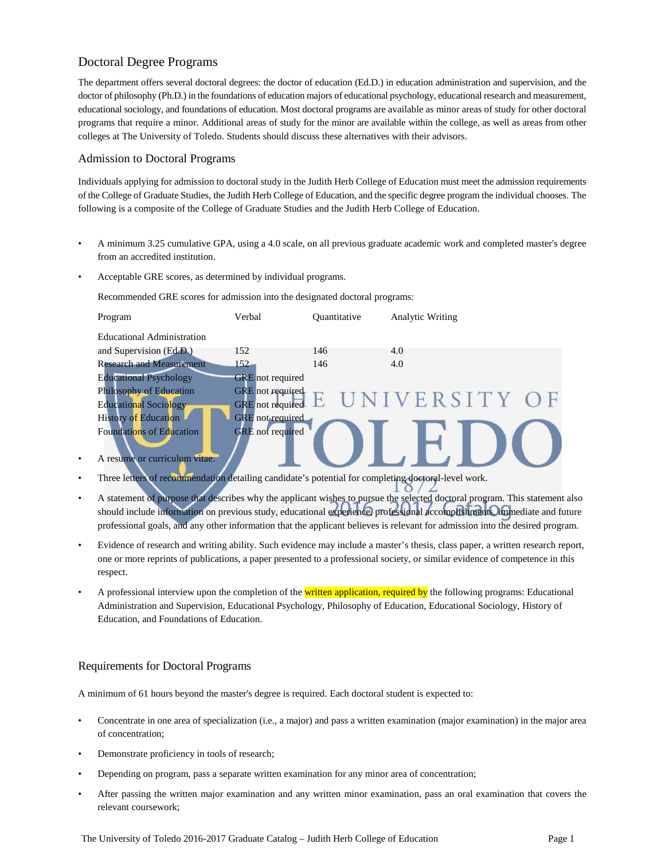# Doctoral Degree Programs

The department offers several doctoral degrees: the doctor of education (Ed.D.) in education administration and supervision, and the doctor of philosophy (Ph.D.) in the foundations of education majors of educational psychology, educational research and measurement, educational sociology, and foundations of education. Most doctoral programs are available as minor areas of study for other doctoral programs that require a minor. Additional areas of study for the minor are available within the college, as well as areas from other colleges at The University of Toledo. Students should discuss these alternatives with their advisors.

# Admission to Doctoral Programs

Individuals applying for admission to doctoral study in the Judith Herb College of Education must meet the admission requirements of the College of Graduate Studies, the Judith Herb College of Education, and the specific degree program the individual chooses. The following is a composite of the College of Graduate Studies and the Judith Herb College of Education.

- A minimum 3.25 cumulative GPA, using a 4.0 scale, on all previous graduate academic work and completed master's degree from an accredited institution.
- Acceptable GRE scores, as determined by individual programs.

Recommended GRE scores for admission into the designated doctoral programs:



- A resume or curriculum vitae.
- Three letters of recommendation detailing candidate's potential for completing doctoral-level work.
- A statement of purpose that describes why the applicant wishes to pursue the selected doctoral program. This statement also should include information on previous study, educational experience, professional accomplishments, immediate and future professional goals, and any other information that the applicant believes is relevant for admission into the desired program.

 $\Omega$ 

- Evidence of research and writing ability. Such evidence may include a master's thesis, class paper, a written research report, one or more reprints of publications, a paper presented to a professional society, or similar evidence of competence in this respect.
- A professional interview upon the completion of the written application, required by the following programs: Educational Administration and Supervision, Educational Psychology, Philosophy of Education, Educational Sociology, History of Education, and Foundations of Education.

# Requirements for Doctoral Programs

A minimum of 61 hours beyond the master's degree is required. Each doctoral student is expected to:

- Concentrate in one area of specialization (i.e., a major) and pass a written examination (major examination) in the major area of concentration;
- Demonstrate proficiency in tools of research;
- Depending on program, pass a separate written examination for any minor area of concentration;
- After passing the written major examination and any written minor examination, pass an oral examination that covers the relevant coursework;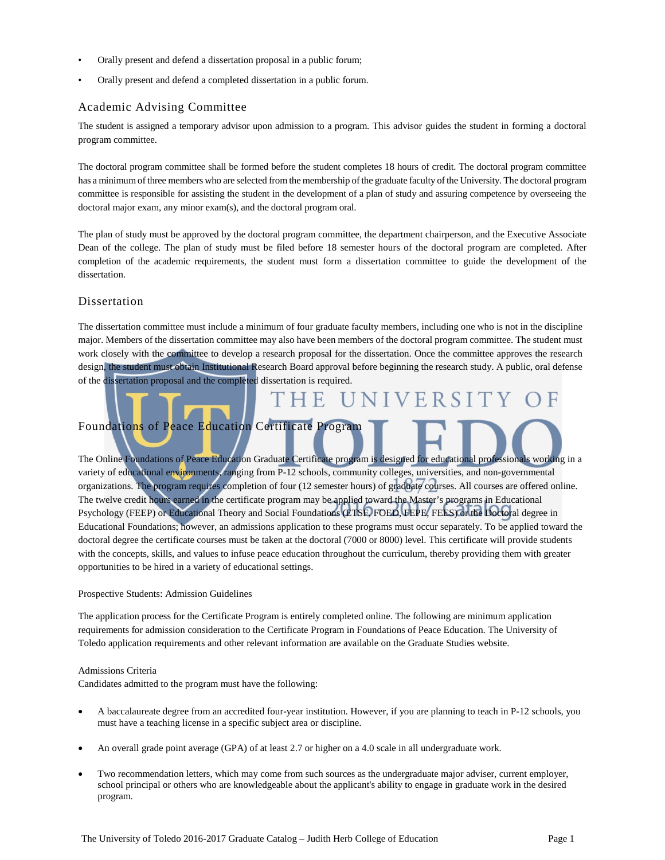- Orally present and defend a dissertation proposal in a public forum;
- Orally present and defend a completed dissertation in a public forum.

## Academic Advising Committee

The student is assigned a temporary advisor upon admission to a program. This advisor guides the student in forming a doctoral program committee.

The doctoral program committee shall be formed before the student completes 18 hours of credit. The doctoral program committee has a minimum of three members who are selected from the membership of the graduate faculty of the University. The doctoral program committee is responsible for assisting the student in the development of a plan of study and assuring competence by overseeing the doctoral major exam, any minor exam(s), and the doctoral program oral.

The plan of study must be approved by the doctoral program committee, the department chairperson, and the Executive Associate Dean of the college. The plan of study must be filed before 18 semester hours of the doctoral program are completed. After completion of the academic requirements, the student must form a dissertation committee to guide the development of the dissertation.

# Dissertation

The dissertation committee must include a minimum of four graduate faculty members, including one who is not in the discipline major. Members of the dissertation committee may also have been members of the doctoral program committee. The student must work closely with the committee to develop a research proposal for the dissertation. Once the committee approves the research design, the student must obtain Institutional Research Board approval before beginning the research study. A public, oral defense of the dissertation proposal and the completed dissertation is required.

VERSI

# Foundations of Peace Education Certificate Program

F.

The Online Foundations of Peace Education Graduate Certificate program is designed for educational professionals working in a variety of educational environments, ranging from P-12 schools, community colleges, universities, and non-governmental organizations. The program requires completion of four (12 semester hours) of graduate courses. All courses are offered online. The twelve credit hours earned in the certificate program may be applied toward the Master's programs in Educational Psychology (FEEP) or Educational Theory and Social Foundations (ETSF, FOED, FEPE, FEES) or the Doctoral degree in Educational Foundations; however, an admissions application to these programs must occur separately. To be applied toward the doctoral degree the certificate courses must be taken at the doctoral (7000 or 8000) level. This certificate will provide students with the concepts, skills, and values to infuse peace education throughout the curriculum, thereby providing them with greater opportunities to be hired in a variety of educational settings.

### Prospective Students: Admission Guidelines

The application process for the Certificate Program is entirely completed online. The following are minimum application requirements for admission consideration to the Certificate Program in Foundations of Peace Education. The University of Toledo application requirements and other relevant information are available on the Graduate Studies website.

### Admissions Criteria

Candidates admitted to the program must have the following:

- A baccalaureate degree from an accredited four-year institution. However, if you are planning to teach in P-12 schools, you must have a teaching license in a specific subject area or discipline.
- An overall grade point average (GPA) of at least 2.7 or higher on a 4.0 scale in all undergraduate work.
- Two recommendation letters, which may come from such sources as the undergraduate major adviser, current employer, school principal or others who are knowledgeable about the applicant's ability to engage in graduate work in the desired program.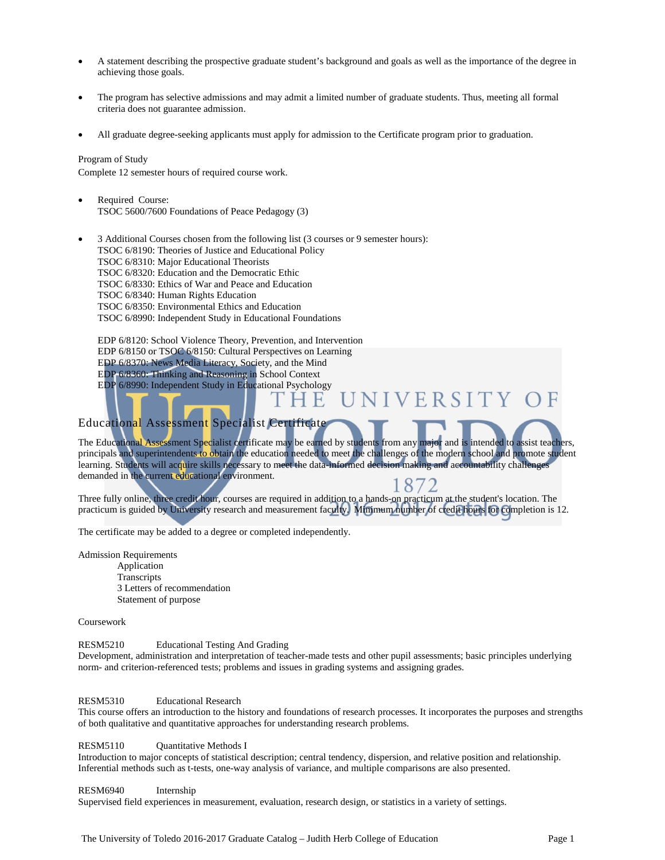- A statement describing the prospective graduate student's background and goals as well as the importance of the degree in achieving those goals.
- The program has selective admissions and may admit a limited number of graduate students. Thus, meeting all formal criteria does not guarantee admission.
- All graduate degree-seeking applicants must apply for admission to the Certificate program prior to graduation.

## Program of Study

Complete 12 semester hours of required course work.

Required Course: TSOC 5600/7600 Foundations of Peace Pedagogy (3)

• 3 Additional Courses chosen from the following list (3 courses or 9 semester hours): TSOC 6/8190: Theories of Justice and Educational Policy TSOC 6/8310: Major Educational Theorists TSOC 6/8320: Education and the Democratic Ethic TSOC 6/8330: Ethics of War and Peace and Education TSOC 6/8340: Human Rights Education TSOC 6/8350: Environmental Ethics and Education TSOC 6/8990: Independent Study in Educational Foundations

EDP 6/8120: School Violence Theory, Prevention, and Intervention EDP 6/8150 or TSOC 6/8150: Cultural Perspectives on Learning EDP 6/8370: News Media Literacy, Society, and the Mind EDP 6/8360: Thinking and Reasoning in School Context EDP 6/8990: Independent Study in Educational Psychology NIVERSITY

# Educational Assessment Specialist Certificate

The Educational Assessment Specialist certificate may be earned by students from any major and is intended to assist teachers, principals and superintendents to obtain the education needed to meet the challenges of the modern school and promote student learning. Students will acquire skills necessary to meet the data-informed decision making and accountability challenges demanded in the current educational environment. 8

E

Three fully online, three credit hour, courses are required in addition to a hands-on practicum at the student's location. The practicum is guided by University research and measurement faculty. Minimum number of credit hours for completion is 12.

The certificate may be added to a degree or completed independently.

Admission Requirements Application **Transcripts** 3 Letters of recommendation Statement of purpose

Coursework

#### RESM5210 Educational Testing And Grading

Development, administration and interpretation of teacher-made tests and other pupil assessments; basic principles underlying norm- and criterion-referenced tests; problems and issues in grading systems and assigning grades.

#### RESM5310 Educational Research

This course offers an introduction to the history and foundations of research processes. It incorporates the purposes and strengths of both qualitative and quantitative approaches for understanding research problems.

#### RESM5110 Quantitative Methods I

Introduction to major concepts of statistical description; central tendency, dispersion, and relative position and relationship. Inferential methods such as t-tests, one-way analysis of variance, and multiple comparisons are also presented.

#### RESM6940 Internship

Supervised field experiences in measurement, evaluation, research design, or statistics in a variety of settings.